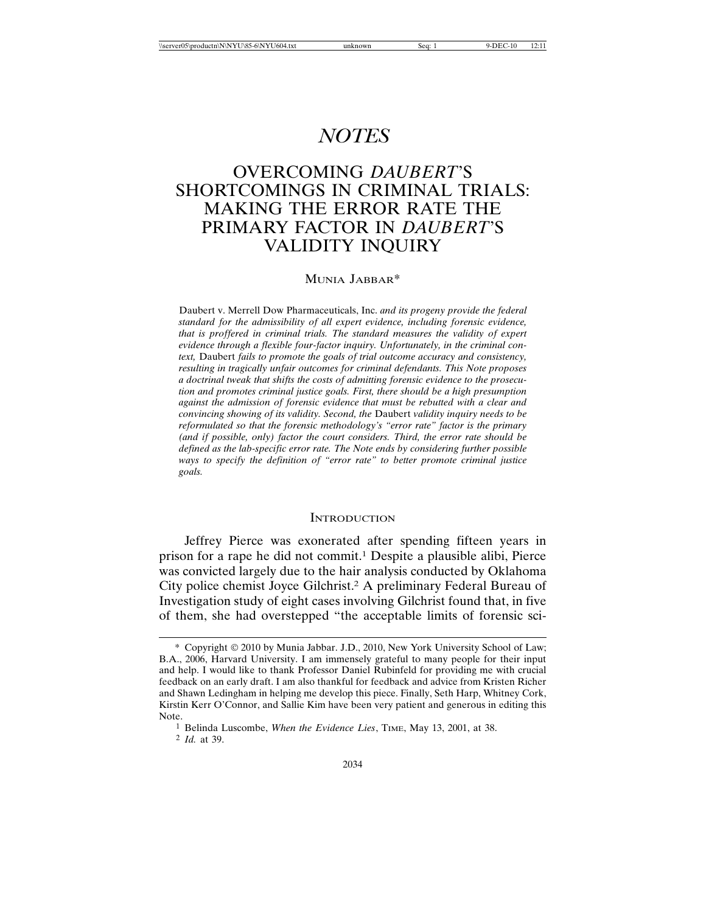# *NOTES*

# OVERCOMING *DAUBERT*'S SHORTCOMINGS IN CRIMINAL TRIALS: MAKING THE ERROR RATE THE PRIMARY FACTOR IN *DAUBERT*'S VALIDITY INQUIRY

#### MUNIA JABBAR\*

Daubert v. Merrell Dow Pharmaceuticals, Inc. *and its progeny provide the federal standard for the admissibility of all expert evidence, including forensic evidence, that is proffered in criminal trials. The standard measures the validity of expert evidence through a flexible four-factor inquiry. Unfortunately, in the criminal context,* Daubert *fails to promote the goals of trial outcome accuracy and consistency, resulting in tragically unfair outcomes for criminal defendants. This Note proposes a doctrinal tweak that shifts the costs of admitting forensic evidence to the prosecution and promotes criminal justice goals. First, there should be a high presumption against the admission of forensic evidence that must be rebutted with a clear and convincing showing of its validity. Second, the* Daubert *validity inquiry needs to be reformulated so that the forensic methodology's "error rate" factor is the primary (and if possible, only) factor the court considers. Third, the error rate should be defined as the lab-specific error rate. The Note ends by considering further possible ways to specify the definition of "error rate" to better promote criminal justice goals.*

#### **INTRODUCTION**

Jeffrey Pierce was exonerated after spending fifteen years in prison for a rape he did not commit.1 Despite a plausible alibi, Pierce was convicted largely due to the hair analysis conducted by Oklahoma City police chemist Joyce Gilchrist.2 A preliminary Federal Bureau of Investigation study of eight cases involving Gilchrist found that, in five of them, she had overstepped "the acceptable limits of forensic sci-

<sup>\*</sup> Copyright 2010 by Munia Jabbar. J.D., 2010, New York University School of Law; B.A., 2006, Harvard University. I am immensely grateful to many people for their input and help. I would like to thank Professor Daniel Rubinfeld for providing me with crucial feedback on an early draft. I am also thankful for feedback and advice from Kristen Richer and Shawn Ledingham in helping me develop this piece. Finally, Seth Harp, Whitney Cork, Kirstin Kerr O'Connor, and Sallie Kim have been very patient and generous in editing this Note.

<sup>1</sup> Belinda Luscombe, *When the Evidence Lies*, TIME, May 13, 2001, at 38.

<sup>2</sup> *Id.* at 39.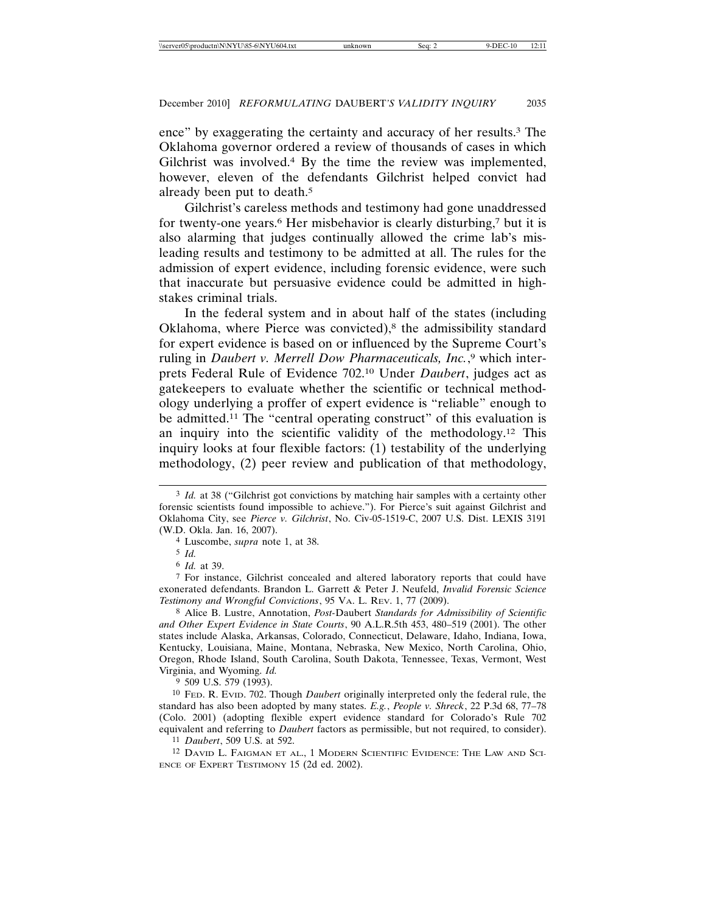ence" by exaggerating the certainty and accuracy of her results.3 The Oklahoma governor ordered a review of thousands of cases in which Gilchrist was involved.4 By the time the review was implemented, however, eleven of the defendants Gilchrist helped convict had already been put to death.5

Gilchrist's careless methods and testimony had gone unaddressed for twenty-one years.6 Her misbehavior is clearly disturbing,7 but it is also alarming that judges continually allowed the crime lab's misleading results and testimony to be admitted at all. The rules for the admission of expert evidence, including forensic evidence, were such that inaccurate but persuasive evidence could be admitted in highstakes criminal trials.

In the federal system and in about half of the states (including Oklahoma, where Pierce was convicted), $8$  the admissibility standard for expert evidence is based on or influenced by the Supreme Court's ruling in *Daubert v. Merrell Dow Pharmaceuticals, Inc.*, 9 which interprets Federal Rule of Evidence 702.10 Under *Daubert*, judges act as gatekeepers to evaluate whether the scientific or technical methodology underlying a proffer of expert evidence is "reliable" enough to be admitted.11 The "central operating construct" of this evaluation is an inquiry into the scientific validity of the methodology.12 This inquiry looks at four flexible factors: (1) testability of the underlying methodology, (2) peer review and publication of that methodology,

9 509 U.S. 579 (1993).

10 FED. R. EVID. 702. Though *Daubert* originally interpreted only the federal rule, the standard has also been adopted by many states. *E.g.*, *People v. Shreck*, 22 P.3d 68, 77–78 (Colo. 2001) (adopting flexible expert evidence standard for Colorado's Rule 702 equivalent and referring to *Daubert* factors as permissible, but not required, to consider).

11 *Daubert*, 509 U.S. at 592.

12 DAVID L. FAIGMAN ET AL., 1 MODERN SCIENTIFIC EVIDENCE: THE LAW AND SCI-ENCE OF EXPERT TESTIMONY 15 (2d ed. 2002).

<sup>&</sup>lt;sup>3</sup> *Id.* at 38 ("Gilchrist got convictions by matching hair samples with a certainty other forensic scientists found impossible to achieve."). For Pierce's suit against Gilchrist and Oklahoma City, see *Pierce v. Gilchrist*, No. Civ-05-1519-C, 2007 U.S. Dist. LEXIS 3191 (W.D. Okla. Jan. 16, 2007).

<sup>4</sup> Luscombe, *supra* note 1, at 38.

<sup>5</sup> *Id.*

<sup>6</sup> *Id.* at 39.

<sup>7</sup> For instance, Gilchrist concealed and altered laboratory reports that could have exonerated defendants. Brandon L. Garrett & Peter J. Neufeld, *Invalid Forensic Science Testimony and Wrongful Convictions*, 95 VA. L. REV. 1, 77 (2009).

<sup>8</sup> Alice B. Lustre, Annotation, *Post-*Daubert *Standards for Admissibility of Scientific and Other Expert Evidence in State Courts*, 90 A.L.R.5th 453, 480–519 (2001). The other states include Alaska, Arkansas, Colorado, Connecticut, Delaware, Idaho, Indiana, Iowa, Kentucky, Louisiana, Maine, Montana, Nebraska, New Mexico, North Carolina, Ohio, Oregon, Rhode Island, South Carolina, South Dakota, Tennessee, Texas, Vermont, West Virginia, and Wyoming. *Id.*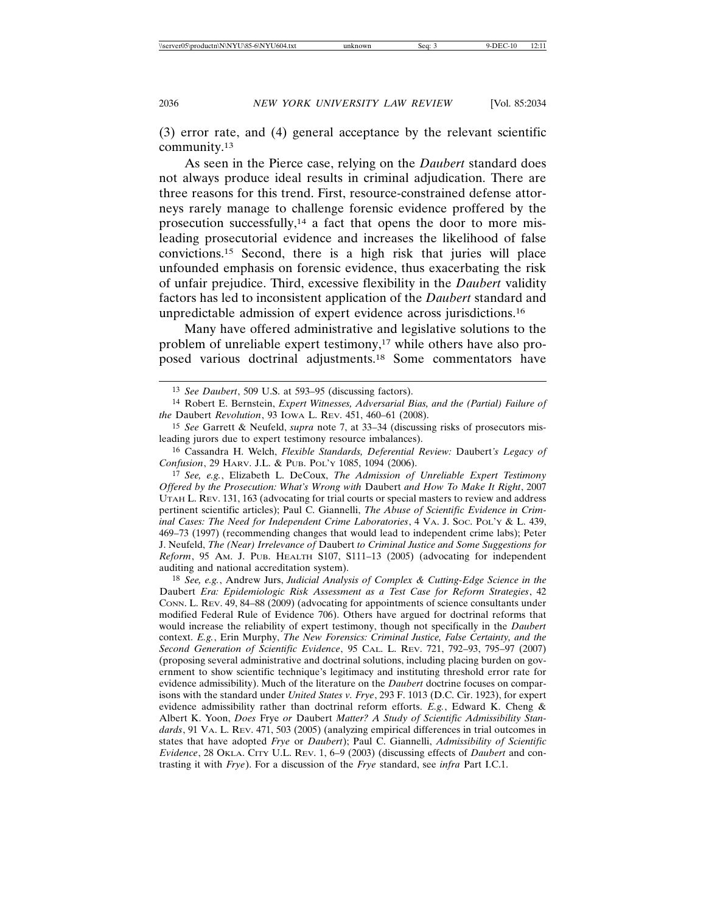(3) error rate, and (4) general acceptance by the relevant scientific community.13

As seen in the Pierce case, relying on the *Daubert* standard does not always produce ideal results in criminal adjudication. There are three reasons for this trend. First, resource-constrained defense attorneys rarely manage to challenge forensic evidence proffered by the prosecution successfully,14 a fact that opens the door to more misleading prosecutorial evidence and increases the likelihood of false convictions.15 Second, there is a high risk that juries will place unfounded emphasis on forensic evidence, thus exacerbating the risk of unfair prejudice. Third, excessive flexibility in the *Daubert* validity factors has led to inconsistent application of the *Daubert* standard and unpredictable admission of expert evidence across jurisdictions.16

Many have offered administrative and legislative solutions to the problem of unreliable expert testimony,<sup>17</sup> while others have also proposed various doctrinal adjustments.18 Some commentators have

<sup>13</sup> *See Daubert*, 509 U.S. at 593–95 (discussing factors).

<sup>14</sup> Robert E. Bernstein, *Expert Witnesses, Adversarial Bias, and the (Partial) Failure of the* Daubert *Revolution*, 93 IOWA L. REV. 451, 460–61 (2008).

<sup>15</sup> *See* Garrett & Neufeld, *supra* note 7, at 33–34 (discussing risks of prosecutors misleading jurors due to expert testimony resource imbalances).

<sup>16</sup> Cassandra H. Welch, *Flexible Standards, Deferential Review:* Daubert*'s Legacy of Confusion*, 29 HARV. J.L. & PUB. POL'Y 1085, 1094 (2006).

<sup>17</sup> *See, e.g.*, Elizabeth L. DeCoux, *The Admission of Unreliable Expert Testimony Offered by the Prosecution: What's Wrong with* Daubert *and How To Make It Right*, 2007 UTAH L. REV. 131, 163 (advocating for trial courts or special masters to review and address pertinent scientific articles); Paul C. Giannelli, *The Abuse of Scientific Evidence in Criminal Cases: The Need for Independent Crime Laboratories*, 4 VA. J. SOC. POL'Y & L. 439, 469–73 (1997) (recommending changes that would lead to independent crime labs); Peter J. Neufeld, *The (Near) Irrelevance of* Daubert *to Criminal Justice and Some Suggestions for Reform*, 95 AM. J. PUB. HEALTH S107, S111–13 (2005) (advocating for independent auditing and national accreditation system).

<sup>18</sup> *See, e.g.*, Andrew Jurs, *Judicial Analysis of Complex & Cutting-Edge Science in the* Daubert *Era: Epidemiologic Risk Assessment as a Test Case for Reform Strategies*, 42 CONN. L. REV. 49, 84–88 (2009) (advocating for appointments of science consultants under modified Federal Rule of Evidence 706). Others have argued for doctrinal reforms that would increase the reliability of expert testimony, though not specifically in the *Daubert* context. *E.g.*, Erin Murphy, *The New Forensics: Criminal Justice, False Certainty, and the Second Generation of Scientific Evidence*, 95 CAL. L. REV. 721, 792–93, 795–97 (2007) (proposing several administrative and doctrinal solutions, including placing burden on government to show scientific technique's legitimacy and instituting threshold error rate for evidence admissibility). Much of the literature on the *Daubert* doctrine focuses on comparisons with the standard under *United States v. Frye*, 293 F. 1013 (D.C. Cir. 1923), for expert evidence admissibility rather than doctrinal reform efforts. *E.g.*, Edward K. Cheng & Albert K. Yoon, *Does* Frye *or* Daubert *Matter? A Study of Scientific Admissibility Standards*, 91 VA. L. REV. 471, 503 (2005) (analyzing empirical differences in trial outcomes in states that have adopted *Frye* or *Daubert*); Paul C. Giannelli, *Admissibility of Scientific Evidence*, 28 OKLA. CITY U.L. REV. 1, 6–9 (2003) (discussing effects of *Daubert* and contrasting it with *Frye*). For a discussion of the *Frye* standard, see *infra* Part I.C.1.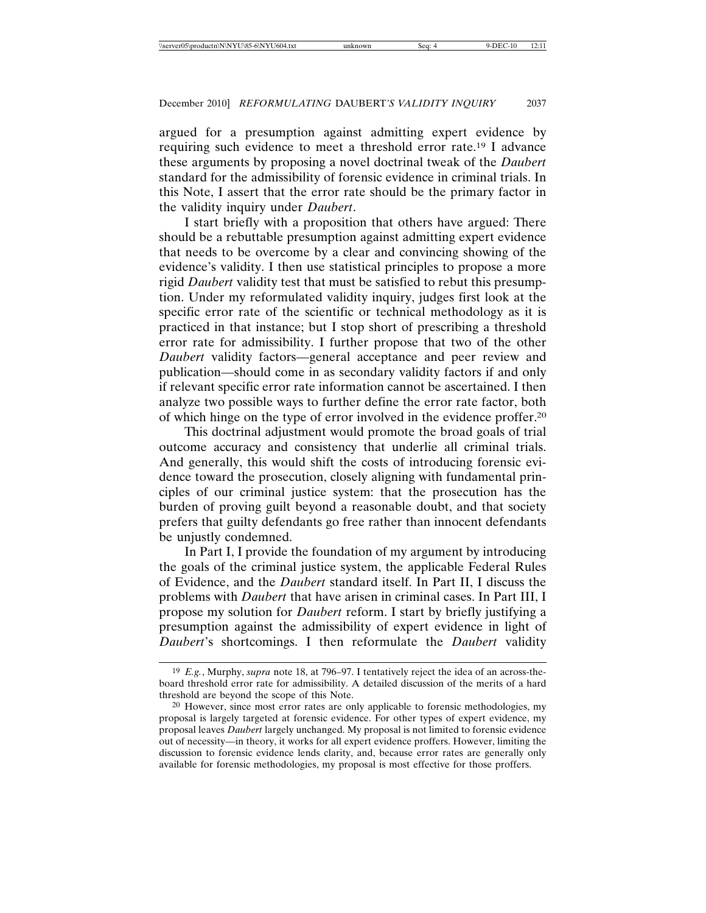argued for a presumption against admitting expert evidence by requiring such evidence to meet a threshold error rate.19 I advance these arguments by proposing a novel doctrinal tweak of the *Daubert* standard for the admissibility of forensic evidence in criminal trials. In this Note, I assert that the error rate should be the primary factor in the validity inquiry under *Daubert*.

I start briefly with a proposition that others have argued: There should be a rebuttable presumption against admitting expert evidence that needs to be overcome by a clear and convincing showing of the evidence's validity. I then use statistical principles to propose a more rigid *Daubert* validity test that must be satisfied to rebut this presumption. Under my reformulated validity inquiry, judges first look at the specific error rate of the scientific or technical methodology as it is practiced in that instance; but I stop short of prescribing a threshold error rate for admissibility. I further propose that two of the other *Daubert* validity factors—general acceptance and peer review and publication—should come in as secondary validity factors if and only if relevant specific error rate information cannot be ascertained. I then analyze two possible ways to further define the error rate factor, both of which hinge on the type of error involved in the evidence proffer.20

This doctrinal adjustment would promote the broad goals of trial outcome accuracy and consistency that underlie all criminal trials. And generally, this would shift the costs of introducing forensic evidence toward the prosecution, closely aligning with fundamental principles of our criminal justice system: that the prosecution has the burden of proving guilt beyond a reasonable doubt, and that society prefers that guilty defendants go free rather than innocent defendants be unjustly condemned.

In Part I, I provide the foundation of my argument by introducing the goals of the criminal justice system, the applicable Federal Rules of Evidence, and the *Daubert* standard itself. In Part II, I discuss the problems with *Daubert* that have arisen in criminal cases. In Part III, I propose my solution for *Daubert* reform. I start by briefly justifying a presumption against the admissibility of expert evidence in light of *Daubert*'s shortcomings. I then reformulate the *Daubert* validity

<sup>19</sup> *E.g.*, Murphy, *supra* note 18, at 796–97. I tentatively reject the idea of an across-theboard threshold error rate for admissibility. A detailed discussion of the merits of a hard threshold are beyond the scope of this Note.

<sup>20</sup> However, since most error rates are only applicable to forensic methodologies, my proposal is largely targeted at forensic evidence. For other types of expert evidence, my proposal leaves *Daubert* largely unchanged. My proposal is not limited to forensic evidence out of necessity—in theory, it works for all expert evidence proffers. However, limiting the discussion to forensic evidence lends clarity, and, because error rates are generally only available for forensic methodologies, my proposal is most effective for those proffers.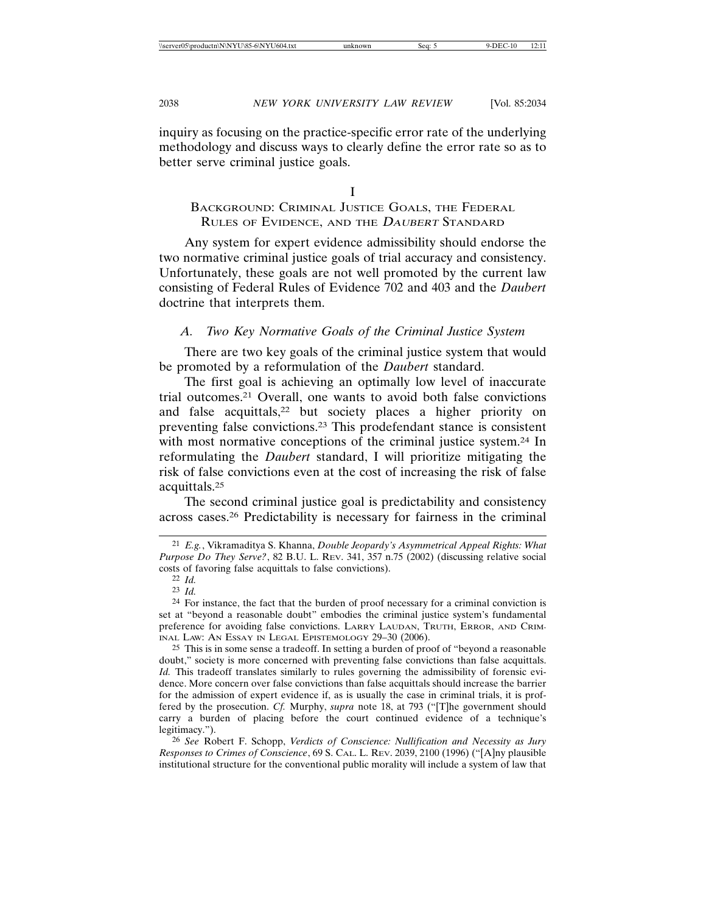inquiry as focusing on the practice-specific error rate of the underlying methodology and discuss ways to clearly define the error rate so as to better serve criminal justice goals.

I

# BACKGROUND: CRIMINAL JUSTICE GOALS, THE FEDERAL RULES OF EVIDENCE, AND THE DAUBERT STANDARD

Any system for expert evidence admissibility should endorse the two normative criminal justice goals of trial accuracy and consistency. Unfortunately, these goals are not well promoted by the current law consisting of Federal Rules of Evidence 702 and 403 and the *Daubert* doctrine that interprets them.

# *A. Two Key Normative Goals of the Criminal Justice System*

There are two key goals of the criminal justice system that would be promoted by a reformulation of the *Daubert* standard.

The first goal is achieving an optimally low level of inaccurate trial outcomes.21 Overall, one wants to avoid both false convictions and false acquittals,<sup>22</sup> but society places a higher priority on preventing false convictions.23 This prodefendant stance is consistent with most normative conceptions of the criminal justice system.<sup>24</sup> In reformulating the *Daubert* standard, I will prioritize mitigating the risk of false convictions even at the cost of increasing the risk of false acquittals.25

The second criminal justice goal is predictability and consistency across cases.26 Predictability is necessary for fairness in the criminal

25 This is in some sense a tradeoff. In setting a burden of proof of "beyond a reasonable doubt," society is more concerned with preventing false convictions than false acquittals. *Id.* This tradeoff translates similarly to rules governing the admissibility of forensic evidence. More concern over false convictions than false acquittals should increase the barrier for the admission of expert evidence if, as is usually the case in criminal trials, it is proffered by the prosecution. *Cf.* Murphy, *supra* note 18, at 793 ("[T]he government should carry a burden of placing before the court continued evidence of a technique's legitimacy.").

26 *See* Robert F. Schopp, *Verdicts of Conscience: Nullification and Necessity as Jury Responses to Crimes of Conscience*, 69 S. CAL. L. REV. 2039, 2100 (1996) ("[A]ny plausible institutional structure for the conventional public morality will include a system of law that

<sup>21</sup> *E.g.*, Vikramaditya S. Khanna, *Double Jeopardy's Asymmetrical Appeal Rights: What Purpose Do They Serve?*, 82 B.U. L. REV. 341, 357 n.75 (2002) (discussing relative social costs of favoring false acquittals to false convictions).

<sup>22</sup> *Id.*

<sup>23</sup> *Id.*

 $24$  For instance, the fact that the burden of proof necessary for a criminal conviction is set at "beyond a reasonable doubt" embodies the criminal justice system's fundamental preference for avoiding false convictions. LARRY LAUDAN, TRUTH, ERROR, AND CRIM-INAL LAW: AN ESSAY IN LEGAL EPISTEMOLOGY 29–30 (2006).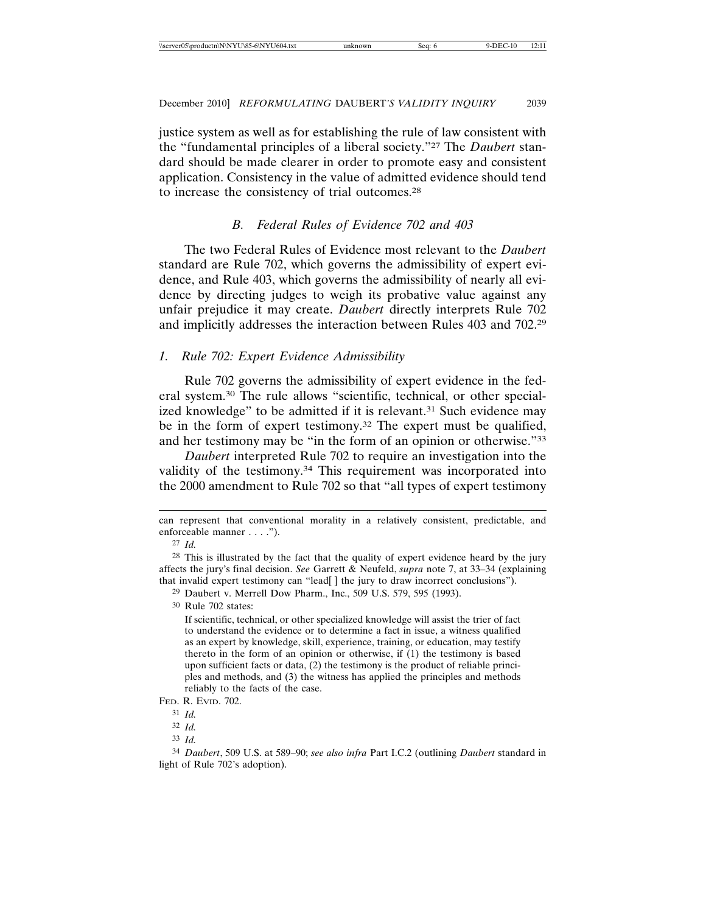justice system as well as for establishing the rule of law consistent with the "fundamental principles of a liberal society."27 The *Daubert* standard should be made clearer in order to promote easy and consistent application. Consistency in the value of admitted evidence should tend to increase the consistency of trial outcomes.28

### *B. Federal Rules of Evidence 702 and 403*

The two Federal Rules of Evidence most relevant to the *Daubert* standard are Rule 702, which governs the admissibility of expert evidence, and Rule 403, which governs the admissibility of nearly all evidence by directing judges to weigh its probative value against any unfair prejudice it may create. *Daubert* directly interprets Rule 702 and implicitly addresses the interaction between Rules 403 and 702.29

#### *1. Rule 702: Expert Evidence Admissibility*

Rule 702 governs the admissibility of expert evidence in the federal system.30 The rule allows "scientific, technical, or other specialized knowledge" to be admitted if it is relevant.<sup>31</sup> Such evidence may be in the form of expert testimony.<sup>32</sup> The expert must be qualified, and her testimony may be "in the form of an opinion or otherwise."33

*Daubert* interpreted Rule 702 to require an investigation into the validity of the testimony.34 This requirement was incorporated into the 2000 amendment to Rule 702 so that "all types of expert testimony

30 Rule 702 states:

If scientific, technical, or other specialized knowledge will assist the trier of fact to understand the evidence or to determine a fact in issue, a witness qualified as an expert by knowledge, skill, experience, training, or education, may testify thereto in the form of an opinion or otherwise, if (1) the testimony is based upon sufficient facts or data, (2) the testimony is the product of reliable principles and methods, and (3) the witness has applied the principles and methods reliably to the facts of the case.

33 *Id.*

can represent that conventional morality in a relatively consistent, predictable, and enforceable manner . . . .").

<sup>27</sup> *Id.*

 $28$  This is illustrated by the fact that the quality of expert evidence heard by the jury affects the jury's final decision. *See* Garrett & Neufeld, *supra* note 7, at 33–34 (explaining that invalid expert testimony can "lead[ ] the jury to draw incorrect conclusions").

<sup>29</sup> Daubert v. Merrell Dow Pharm., Inc., 509 U.S. 579, 595 (1993).

FED. R. EVID. 702.

<sup>31</sup> *Id.*

<sup>32</sup> *Id.*

<sup>34</sup> *Daubert*, 509 U.S. at 589–90; *see also infra* Part I.C.2 (outlining *Daubert* standard in light of Rule 702's adoption).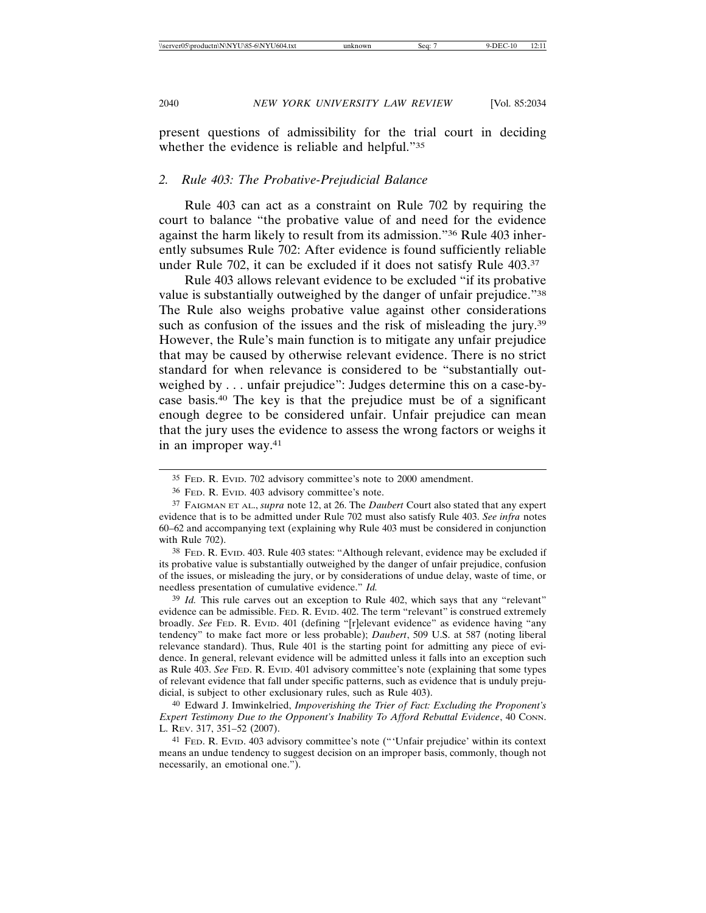present questions of admissibility for the trial court in deciding whether the evidence is reliable and helpful."35

#### *2. Rule 403: The Probative-Prejudicial Balance*

Rule 403 can act as a constraint on Rule 702 by requiring the court to balance "the probative value of and need for the evidence against the harm likely to result from its admission."36 Rule 403 inherently subsumes Rule 702: After evidence is found sufficiently reliable under Rule 702, it can be excluded if it does not satisfy Rule 403.37

Rule 403 allows relevant evidence to be excluded "if its probative value is substantially outweighed by the danger of unfair prejudice."38 The Rule also weighs probative value against other considerations such as confusion of the issues and the risk of misleading the jury.<sup>39</sup> However, the Rule's main function is to mitigate any unfair prejudice that may be caused by otherwise relevant evidence. There is no strict standard for when relevance is considered to be "substantially outweighed by . . . unfair prejudice": Judges determine this on a case-bycase basis.40 The key is that the prejudice must be of a significant enough degree to be considered unfair. Unfair prejudice can mean that the jury uses the evidence to assess the wrong factors or weighs it in an improper way.41

38 FED. R. EVID. 403. Rule 403 states: "Although relevant, evidence may be excluded if its probative value is substantially outweighed by the danger of unfair prejudice, confusion of the issues, or misleading the jury, or by considerations of undue delay, waste of time, or needless presentation of cumulative evidence." *Id.*

39 *Id.* This rule carves out an exception to Rule 402, which says that any "relevant" evidence can be admissible. FED. R. EVID. 402. The term "relevant" is construed extremely broadly. *See* FED. R. EVID. 401 (defining "[r]elevant evidence" as evidence having "any tendency" to make fact more or less probable); *Daubert*, 509 U.S. at 587 (noting liberal relevance standard). Thus, Rule 401 is the starting point for admitting any piece of evidence. In general, relevant evidence will be admitted unless it falls into an exception such as Rule 403. *See* FED. R. EVID. 401 advisory committee's note (explaining that some types of relevant evidence that fall under specific patterns, such as evidence that is unduly prejudicial, is subject to other exclusionary rules, such as Rule 403).

40 Edward J. Imwinkelried, *Impoverishing the Trier of Fact: Excluding the Proponent's Expert Testimony Due to the Opponent's Inability To Afford Rebuttal Evidence*, 40 CONN. L. REV. 317, 351–52 (2007).

41 FED. R. EVID. 403 advisory committee's note ("'Unfair prejudice' within its context means an undue tendency to suggest decision on an improper basis, commonly, though not necessarily, an emotional one.").

<sup>35</sup> FED. R. EVID. 702 advisory committee's note to 2000 amendment.

<sup>36</sup> FED. R. EVID. 403 advisory committee's note.

<sup>37</sup> FAIGMAN ET AL., *supra* note 12, at 26. The *Daubert* Court also stated that any expert evidence that is to be admitted under Rule 702 must also satisfy Rule 403. *See infra* notes 60–62 and accompanying text (explaining why Rule 403 must be considered in conjunction with Rule 702).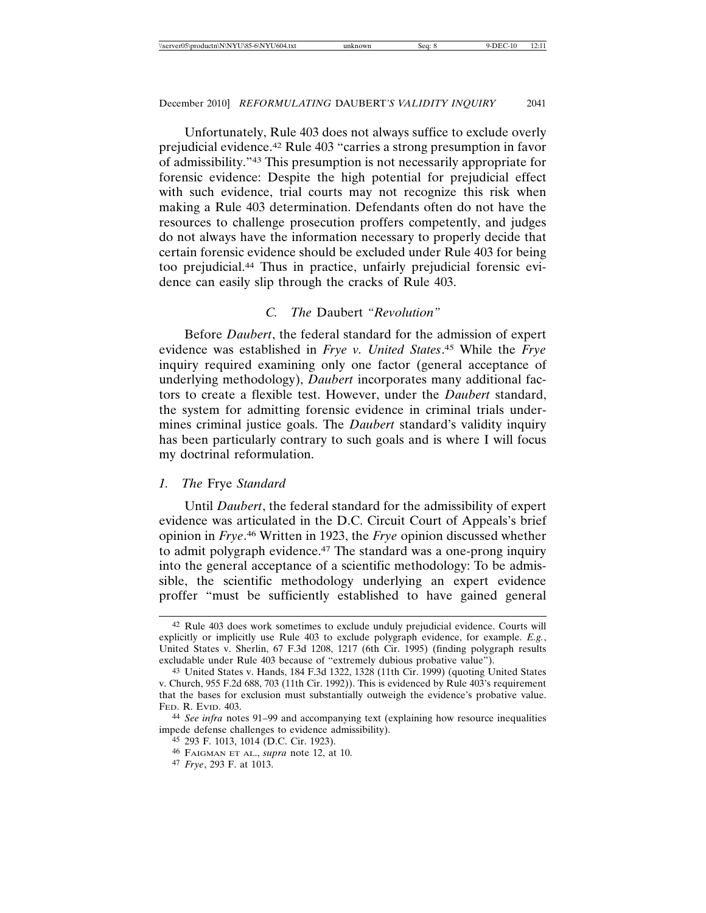Unfortunately, Rule 403 does not always suffice to exclude overly prejudicial evidence.42 Rule 403 "carries a strong presumption in favor of admissibility."43 This presumption is not necessarily appropriate for forensic evidence: Despite the high potential for prejudicial effect with such evidence, trial courts may not recognize this risk when making a Rule 403 determination. Defendants often do not have the resources to challenge prosecution proffers competently, and judges do not always have the information necessary to properly decide that certain forensic evidence should be excluded under Rule 403 for being too prejudicial.44 Thus in practice, unfairly prejudicial forensic evidence can easily slip through the cracks of Rule 403.

#### *C. The* Daubert *"Revolution"*

Before *Daubert*, the federal standard for the admission of expert evidence was established in *Frye v. United States*. 45 While the *Frye* inquiry required examining only one factor (general acceptance of underlying methodology), *Daubert* incorporates many additional factors to create a flexible test. However, under the *Daubert* standard, the system for admitting forensic evidence in criminal trials undermines criminal justice goals. The *Daubert* standard's validity inquiry has been particularly contrary to such goals and is where I will focus my doctrinal reformulation.

#### *1. The* Frye *Standard*

Until *Daubert*, the federal standard for the admissibility of expert evidence was articulated in the D.C. Circuit Court of Appeals's brief opinion in *Frye*. 46 Written in 1923, the *Frye* opinion discussed whether to admit polygraph evidence.47 The standard was a one-prong inquiry into the general acceptance of a scientific methodology: To be admissible, the scientific methodology underlying an expert evidence proffer "must be sufficiently established to have gained general

<sup>42</sup> Rule 403 does work sometimes to exclude unduly prejudicial evidence. Courts will explicitly or implicitly use Rule 403 to exclude polygraph evidence, for example. *E.g.*, United States v. Sherlin, 67 F.3d 1208, 1217 (6th Cir. 1995) (finding polygraph results excludable under Rule 403 because of "extremely dubious probative value").

<sup>43</sup> United States v. Hands, 184 F.3d 1322, 1328 (11th Cir. 1999) (quoting United States v. Church, 955 F.2d 688, 703 (11th Cir. 1992)). This is evidenced by Rule 403's requirement that the bases for exclusion must substantially outweigh the evidence's probative value. FED. R. EVID. 403.

<sup>44</sup> *See infra* notes 91–99 and accompanying text (explaining how resource inequalities impede defense challenges to evidence admissibility).

<sup>45</sup> 293 F. 1013, 1014 (D.C. Cir. 1923).

<sup>46</sup> FAIGMAN ET AL., *supra* note 12, at 10.

<sup>47</sup> *Frye*, 293 F. at 1013.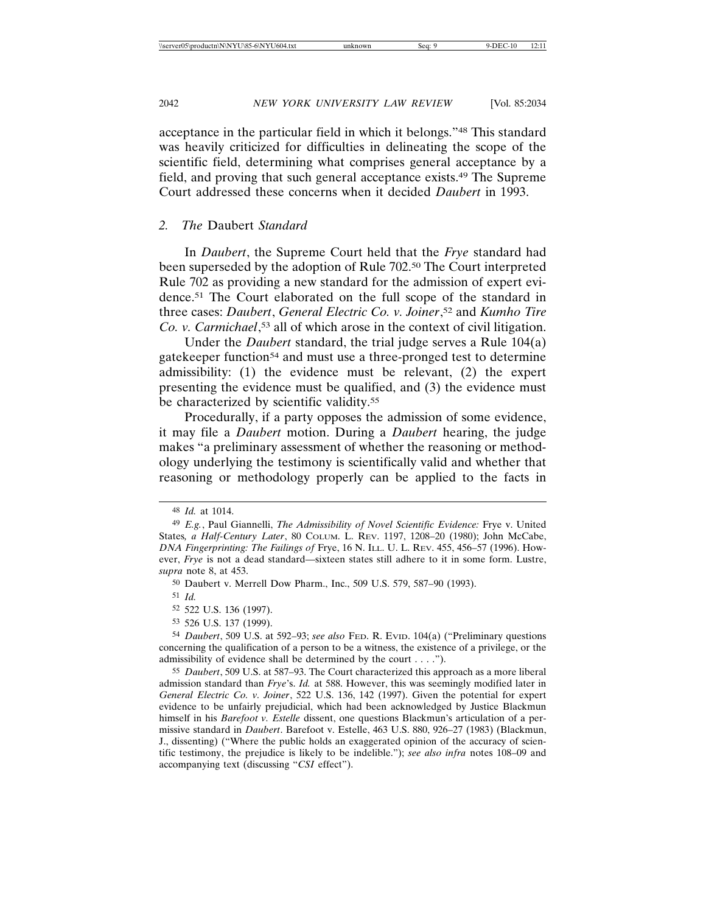acceptance in the particular field in which it belongs."48 This standard was heavily criticized for difficulties in delineating the scope of the scientific field, determining what comprises general acceptance by a field, and proving that such general acceptance exists.49 The Supreme Court addressed these concerns when it decided *Daubert* in 1993.

#### *2. The* Daubert *Standard*

In *Daubert*, the Supreme Court held that the *Frye* standard had been superseded by the adoption of Rule 702.50 The Court interpreted Rule 702 as providing a new standard for the admission of expert evidence.51 The Court elaborated on the full scope of the standard in three cases: *Daubert*, *General Electric Co. v. Joiner*, 52 and *Kumho Tire Co. v. Carmichael*, 53 all of which arose in the context of civil litigation.

Under the *Daubert* standard, the trial judge serves a Rule 104(a) gatekeeper function54 and must use a three-pronged test to determine admissibility: (1) the evidence must be relevant, (2) the expert presenting the evidence must be qualified, and (3) the evidence must be characterized by scientific validity.<sup>55</sup>

Procedurally, if a party opposes the admission of some evidence, it may file a *Daubert* motion. During a *Daubert* hearing, the judge makes "a preliminary assessment of whether the reasoning or methodology underlying the testimony is scientifically valid and whether that reasoning or methodology properly can be applied to the facts in

53 526 U.S. 137 (1999).

<sup>48</sup> *Id.* at 1014.

<sup>49</sup> *E.g.*, Paul Giannelli, *The Admissibility of Novel Scientific Evidence:* Frye v. United States*, a Half-Century Later*, 80 COLUM. L. REV. 1197, 1208–20 (1980); John McCabe, *DNA Fingerprinting: The Failings of* Frye, 16 N. ILL. U. L. REV. 455, 456–57 (1996). However, *Frye* is not a dead standard—sixteen states still adhere to it in some form. Lustre, *supra* note 8, at 453.

<sup>50</sup> Daubert v. Merrell Dow Pharm., Inc., 509 U.S. 579, 587–90 (1993).

<sup>51</sup> *Id.*

<sup>52</sup> 522 U.S. 136 (1997).

<sup>54</sup> *Daubert*, 509 U.S. at 592–93; *see also* FED. R. EVID. 104(a) ("Preliminary questions concerning the qualification of a person to be a witness, the existence of a privilege, or the admissibility of evidence shall be determined by the court . . . .").

<sup>55</sup> *Daubert*, 509 U.S. at 587–93. The Court characterized this approach as a more liberal admission standard than *Frye*'s. *Id.* at 588. However, this was seemingly modified later in *General Electric Co. v. Joiner*, 522 U.S. 136, 142 (1997). Given the potential for expert evidence to be unfairly prejudicial, which had been acknowledged by Justice Blackmun himself in his *Barefoot v. Estelle* dissent, one questions Blackmun's articulation of a permissive standard in *Daubert*. Barefoot v. Estelle, 463 U.S. 880, 926–27 (1983) (Blackmun, J., dissenting) ("Where the public holds an exaggerated opinion of the accuracy of scientific testimony, the prejudice is likely to be indelible."); *see also infra* notes 108–09 and accompanying text (discussing "*CSI* effect").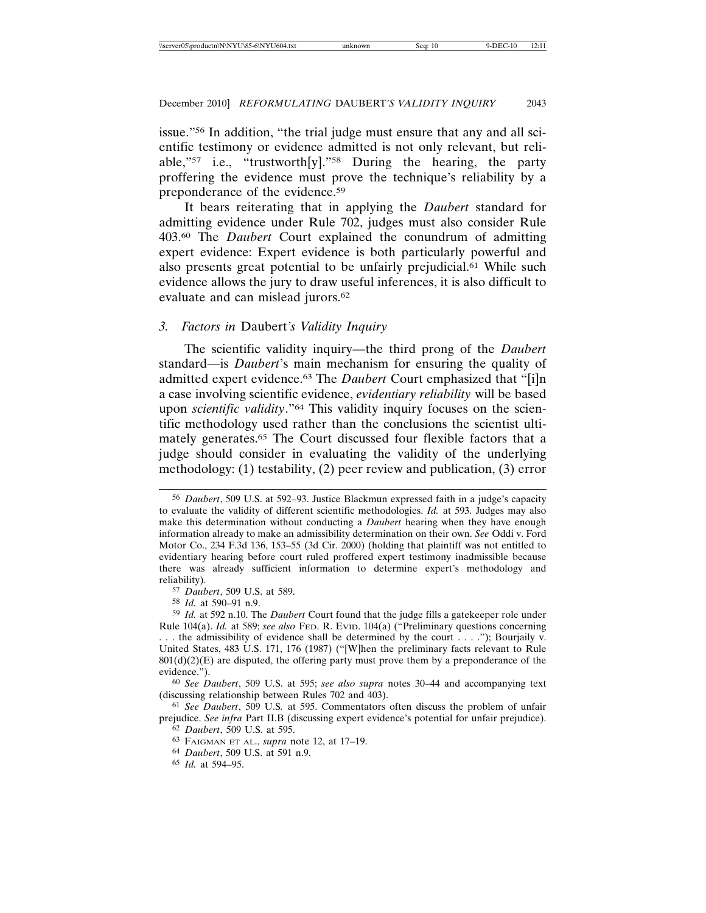issue."56 In addition, "the trial judge must ensure that any and all scientific testimony or evidence admitted is not only relevant, but reliable,"57 i.e., "trustworth[y]."58 During the hearing, the party proffering the evidence must prove the technique's reliability by a preponderance of the evidence.59

It bears reiterating that in applying the *Daubert* standard for admitting evidence under Rule 702, judges must also consider Rule 403.60 The *Daubert* Court explained the conundrum of admitting expert evidence: Expert evidence is both particularly powerful and also presents great potential to be unfairly prejudicial.61 While such evidence allows the jury to draw useful inferences, it is also difficult to evaluate and can mislead jurors.<sup>62</sup>

#### *3. Factors in* Daubert*'s Validity Inquiry*

The scientific validity inquiry—the third prong of the *Daubert* standard—is *Daubert*'s main mechanism for ensuring the quality of admitted expert evidence.63 The *Daubert* Court emphasized that "[i]n a case involving scientific evidence, *evidentiary reliability* will be based upon *scientific validity*."64 This validity inquiry focuses on the scientific methodology used rather than the conclusions the scientist ultimately generates.65 The Court discussed four flexible factors that a judge should consider in evaluating the validity of the underlying methodology: (1) testability, (2) peer review and publication, (3) error

61 *See Daubert*, 509 U.S*.* at 595. Commentators often discuss the problem of unfair prejudice. *See infra* Part II.B (discussing expert evidence's potential for unfair prejudice). 62 *Daubert*, 509 U.S. at 595.

64 *Daubert*, 509 U.S. at 591 n.9.

65 *Id.* at 594–95.

<sup>56</sup> *Daubert*, 509 U.S. at 592–93. Justice Blackmun expressed faith in a judge's capacity to evaluate the validity of different scientific methodologies. *Id.* at 593. Judges may also make this determination without conducting a *Daubert* hearing when they have enough information already to make an admissibility determination on their own. *See* Oddi v. Ford Motor Co., 234 F.3d 136, 153–55 (3d Cir. 2000) (holding that plaintiff was not entitled to evidentiary hearing before court ruled proffered expert testimony inadmissible because there was already sufficient information to determine expert's methodology and reliability).

<sup>57</sup> *Daubert*, 509 U.S. at 589.

<sup>58</sup> *Id.* at 590–91 n.9.

<sup>59</sup> *Id.* at 592 n.10. The *Daubert* Court found that the judge fills a gatekeeper role under Rule 104(a). *Id.* at 589; *see also* FED. R. EVID. 104(a) ("Preliminary questions concerning . . . the admissibility of evidence shall be determined by the court . . . ."); Bourjaily v. United States, 483 U.S. 171, 176 (1987) ("[W]hen the preliminary facts relevant to Rule  $801(d)(2)(E)$  are disputed, the offering party must prove them by a preponderance of the evidence.").

<sup>60</sup> *See Daubert*, 509 U.S. at 595; *see also supra* notes 30–44 and accompanying text (discussing relationship between Rules 702 and 403).

<sup>63</sup> FAIGMAN ET AL., *supra* note 12, at 17–19.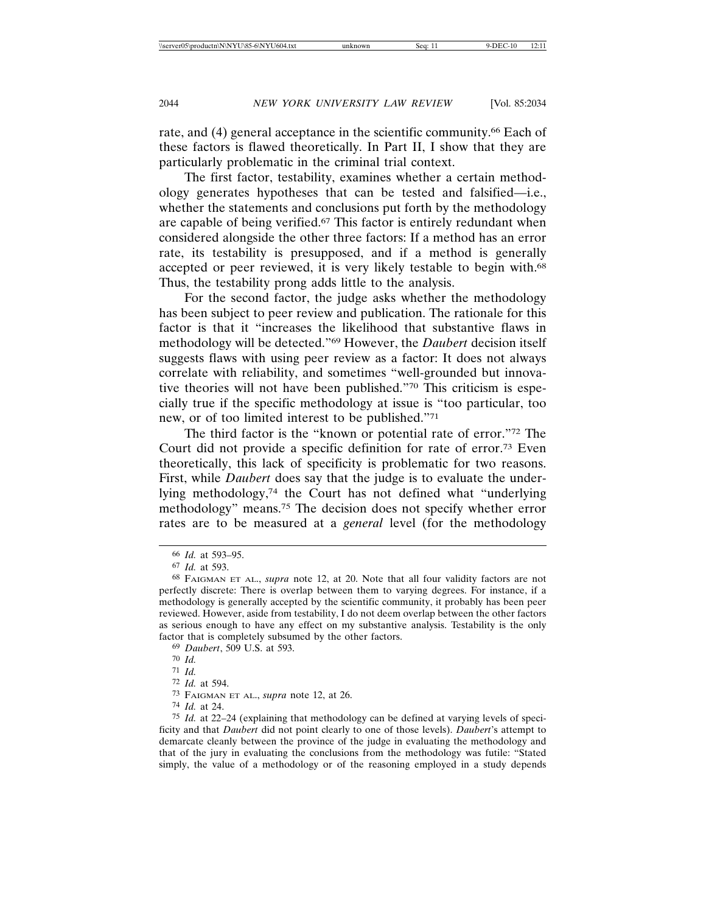rate, and (4) general acceptance in the scientific community.66 Each of these factors is flawed theoretically. In Part II, I show that they are particularly problematic in the criminal trial context.

The first factor, testability, examines whether a certain methodology generates hypotheses that can be tested and falsified—i.e., whether the statements and conclusions put forth by the methodology are capable of being verified.67 This factor is entirely redundant when considered alongside the other three factors: If a method has an error rate, its testability is presupposed, and if a method is generally accepted or peer reviewed, it is very likely testable to begin with.68 Thus, the testability prong adds little to the analysis.

For the second factor, the judge asks whether the methodology has been subject to peer review and publication. The rationale for this factor is that it "increases the likelihood that substantive flaws in methodology will be detected."69 However, the *Daubert* decision itself suggests flaws with using peer review as a factor: It does not always correlate with reliability, and sometimes "well-grounded but innovative theories will not have been published."70 This criticism is especially true if the specific methodology at issue is "too particular, too new, or of too limited interest to be published."71

The third factor is the "known or potential rate of error."72 The Court did not provide a specific definition for rate of error.73 Even theoretically, this lack of specificity is problematic for two reasons. First, while *Daubert* does say that the judge is to evaluate the underlying methodology,74 the Court has not defined what "underlying methodology" means.75 The decision does not specify whether error rates are to be measured at a *general* level (for the methodology

74 *Id.* at 24.

<sup>66</sup> *Id.* at 593–95.

<sup>67</sup> *Id.* at 593.

<sup>68</sup> FAIGMAN ET AL., *supra* note 12, at 20. Note that all four validity factors are not perfectly discrete: There is overlap between them to varying degrees. For instance, if a methodology is generally accepted by the scientific community, it probably has been peer reviewed. However, aside from testability, I do not deem overlap between the other factors as serious enough to have any effect on my substantive analysis. Testability is the only factor that is completely subsumed by the other factors.

<sup>69</sup> *Daubert*, 509 U.S. at 593.

<sup>70</sup> *Id.*

<sup>71</sup> *Id.*

<sup>72</sup> *Id.* at 594.

<sup>73</sup> FAIGMAN ET AL., *supra* note 12, at 26.

<sup>75</sup> *Id.* at 22–24 (explaining that methodology can be defined at varying levels of specificity and that *Daubert* did not point clearly to one of those levels). *Daubert*'s attempt to demarcate cleanly between the province of the judge in evaluating the methodology and that of the jury in evaluating the conclusions from the methodology was futile: "Stated simply, the value of a methodology or of the reasoning employed in a study depends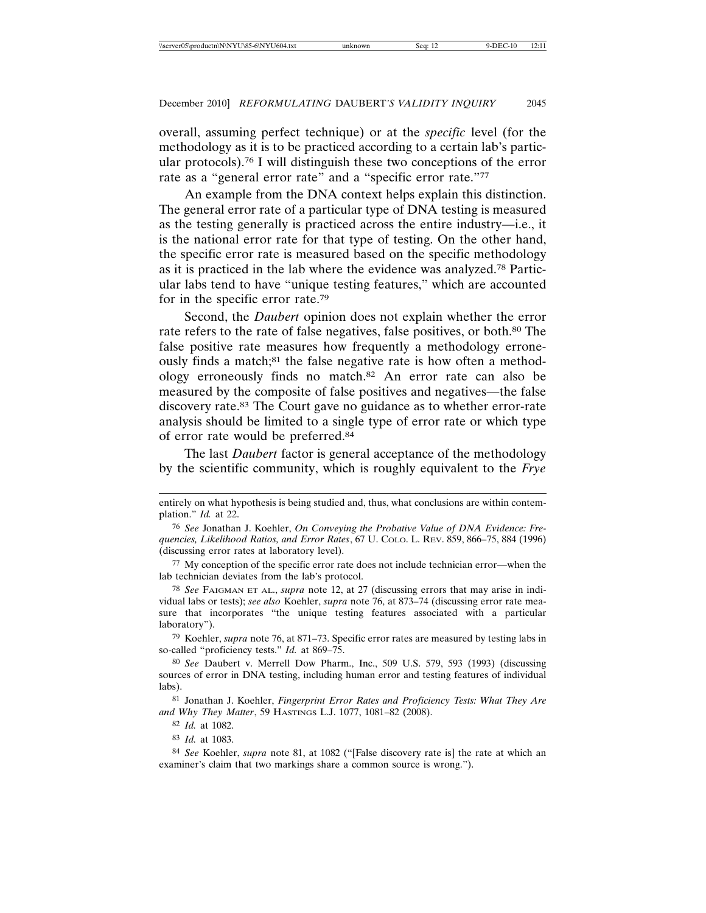overall, assuming perfect technique) or at the *specific* level (for the methodology as it is to be practiced according to a certain lab's particular protocols).76 I will distinguish these two conceptions of the error rate as a "general error rate" and a "specific error rate."77

An example from the DNA context helps explain this distinction. The general error rate of a particular type of DNA testing is measured as the testing generally is practiced across the entire industry—i.e., it is the national error rate for that type of testing. On the other hand, the specific error rate is measured based on the specific methodology as it is practiced in the lab where the evidence was analyzed.78 Particular labs tend to have "unique testing features," which are accounted for in the specific error rate.79

Second, the *Daubert* opinion does not explain whether the error rate refers to the rate of false negatives, false positives, or both.<sup>80</sup> The false positive rate measures how frequently a methodology erroneously finds a match;<sup>81</sup> the false negative rate is how often a methodology erroneously finds no match.82 An error rate can also be measured by the composite of false positives and negatives—the false discovery rate.83 The Court gave no guidance as to whether error-rate analysis should be limited to a single type of error rate or which type of error rate would be preferred.84

The last *Daubert* factor is general acceptance of the methodology by the scientific community, which is roughly equivalent to the *Frye*

78 *See* FAIGMAN ET AL., *supra* note 12, at 27 (discussing errors that may arise in individual labs or tests); *see also* Koehler, *supra* note 76, at 873–74 (discussing error rate measure that incorporates "the unique testing features associated with a particular laboratory").

79 Koehler, *supra* note 76, at 871–73. Specific error rates are measured by testing labs in so-called "proficiency tests." *Id.* at 869–75.

80 *See* Daubert v. Merrell Dow Pharm., Inc., 509 U.S. 579, 593 (1993) (discussing sources of error in DNA testing, including human error and testing features of individual labs).

81 Jonathan J. Koehler, *Fingerprint Error Rates and Proficiency Tests: What They Are and Why They Matter*, 59 HASTINGS L.J. 1077, 1081–82 (2008).

entirely on what hypothesis is being studied and, thus, what conclusions are within contemplation." *Id.* at 22.

<sup>76</sup> *See* Jonathan J. Koehler, *On Conveying the Probative Value of DNA Evidence: Frequencies, Likelihood Ratios, and Error Rates*, 67 U. COLO. L. REV. 859, 866–75, 884 (1996) (discussing error rates at laboratory level).

<sup>77</sup> My conception of the specific error rate does not include technician error—when the lab technician deviates from the lab's protocol.

<sup>82</sup> *Id.* at 1082.

<sup>83</sup> *Id.* at 1083.

<sup>84</sup> *See* Koehler, *supra* note 81, at 1082 ("[False discovery rate is] the rate at which an examiner's claim that two markings share a common source is wrong.").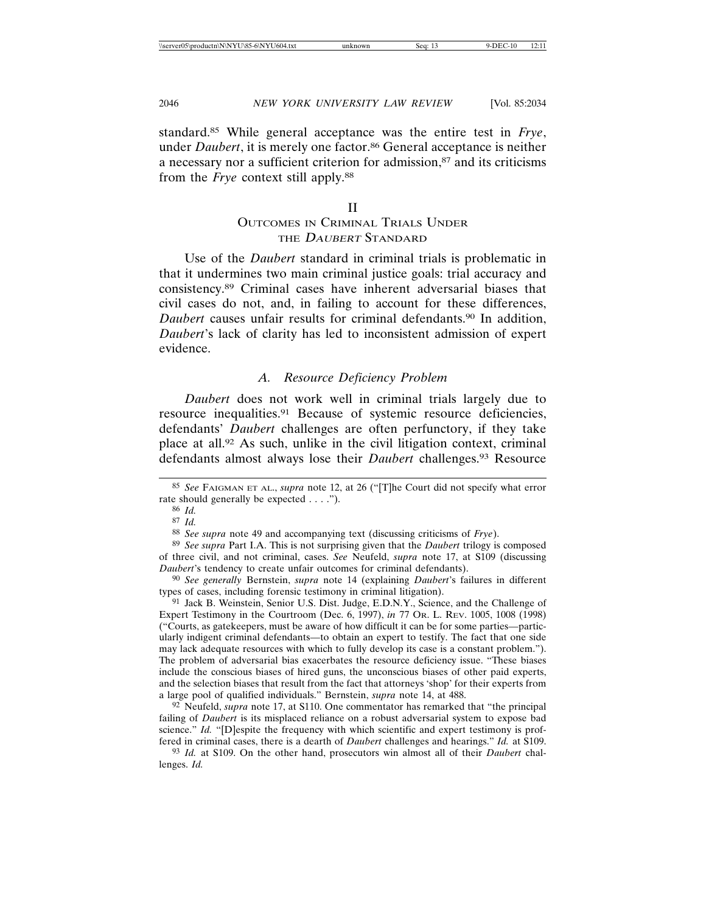standard.85 While general acceptance was the entire test in *Frye*, under *Daubert*, it is merely one factor.<sup>86</sup> General acceptance is neither a necessary nor a sufficient criterion for admission,87 and its criticisms from the *Frye* context still apply.88

#### II

# OUTCOMES IN CRIMINAL TRIALS UNDER THE DAUBERT STANDARD

Use of the *Daubert* standard in criminal trials is problematic in that it undermines two main criminal justice goals: trial accuracy and consistency.89 Criminal cases have inherent adversarial biases that civil cases do not, and, in failing to account for these differences, *Daubert* causes unfair results for criminal defendants.90 In addition, *Daubert*'s lack of clarity has led to inconsistent admission of expert evidence.

# *A. Resource Deficiency Problem*

*Daubert* does not work well in criminal trials largely due to resource inequalities.91 Because of systemic resource deficiencies, defendants' *Daubert* challenges are often perfunctory, if they take place at all.92 As such, unlike in the civil litigation context, criminal defendants almost always lose their *Daubert* challenges.93 Resource

91 Jack B. Weinstein, Senior U.S. Dist. Judge, E.D.N.Y., Science, and the Challenge of Expert Testimony in the Courtroom (Dec. 6, 1997), *in* 77 OR. L. REV. 1005, 1008 (1998) ("Courts, as gatekeepers, must be aware of how difficult it can be for some parties—particularly indigent criminal defendants—to obtain an expert to testify. The fact that one side may lack adequate resources with which to fully develop its case is a constant problem."). The problem of adversarial bias exacerbates the resource deficiency issue. "These biases include the conscious biases of hired guns, the unconscious biases of other paid experts, and the selection biases that result from the fact that attorneys 'shop' for their experts from a large pool of qualified individuals." Bernstein, *supra* note 14, at 488.

92 Neufeld, *supra* note 17, at S110. One commentator has remarked that "the principal failing of *Daubert* is its misplaced reliance on a robust adversarial system to expose bad science." Id. "[D]espite the frequency with which scientific and expert testimony is proffered in criminal cases, there is a dearth of *Daubert* challenges and hearings." *Id.* at S109.

93 *Id.* at S109. On the other hand, prosecutors win almost all of their *Daubert* challenges. *Id.*

<sup>85</sup> *See* FAIGMAN ET AL., *supra* note 12, at 26 ("[T]he Court did not specify what error rate should generally be expected . . . .").

<sup>86</sup> *Id.*

<sup>87</sup> *Id.*

<sup>88</sup> *See supra* note 49 and accompanying text (discussing criticisms of *Frye*).

<sup>89</sup> *See supra* Part I.A. This is not surprising given that the *Daubert* trilogy is composed of three civil, and not criminal, cases. *See* Neufeld, *supra* note 17, at S109 (discussing *Daubert*'s tendency to create unfair outcomes for criminal defendants).

<sup>90</sup> *See generally* Bernstein, *supra* note 14 (explaining *Daubert*'s failures in different types of cases, including forensic testimony in criminal litigation).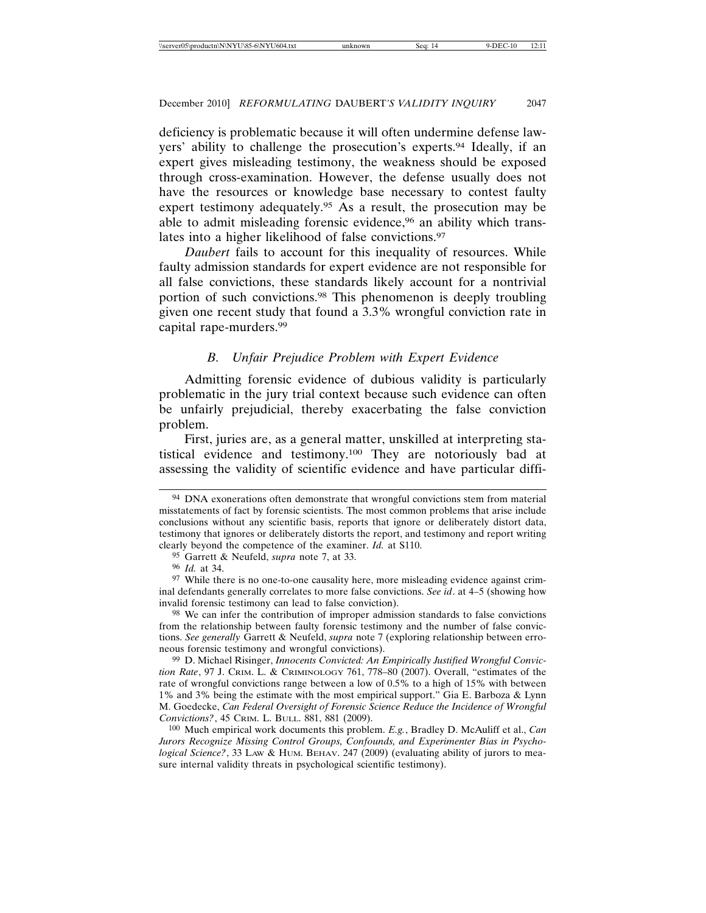deficiency is problematic because it will often undermine defense lawyers' ability to challenge the prosecution's experts.94 Ideally, if an expert gives misleading testimony, the weakness should be exposed through cross-examination. However, the defense usually does not have the resources or knowledge base necessary to contest faulty expert testimony adequately.95 As a result, the prosecution may be able to admit misleading forensic evidence,<sup>96</sup> an ability which translates into a higher likelihood of false convictions.97

*Daubert* fails to account for this inequality of resources. While faulty admission standards for expert evidence are not responsible for all false convictions, these standards likely account for a nontrivial portion of such convictions.98 This phenomenon is deeply troubling given one recent study that found a 3.3% wrongful conviction rate in capital rape-murders.99

# *B. Unfair Prejudice Problem with Expert Evidence*

Admitting forensic evidence of dubious validity is particularly problematic in the jury trial context because such evidence can often be unfairly prejudicial, thereby exacerbating the false conviction problem.

First, juries are, as a general matter, unskilled at interpreting statistical evidence and testimony.100 They are notoriously bad at assessing the validity of scientific evidence and have particular diffi-

<sup>94</sup> DNA exonerations often demonstrate that wrongful convictions stem from material misstatements of fact by forensic scientists. The most common problems that arise include conclusions without any scientific basis, reports that ignore or deliberately distort data, testimony that ignores or deliberately distorts the report, and testimony and report writing clearly beyond the competence of the examiner. *Id.* at S110.

<sup>95</sup> Garrett & Neufeld, *supra* note 7, at 33.

<sup>96</sup> *Id.* at 34.

<sup>97</sup> While there is no one-to-one causality here, more misleading evidence against criminal defendants generally correlates to more false convictions. *See id*. at 4–5 (showing how invalid forensic testimony can lead to false conviction).

<sup>98</sup> We can infer the contribution of improper admission standards to false convictions from the relationship between faulty forensic testimony and the number of false convictions. *See generally* Garrett & Neufeld, *supra* note 7 (exploring relationship between erroneous forensic testimony and wrongful convictions).

<sup>99</sup> D. Michael Risinger, *Innocents Convicted: An Empirically Justified Wrongful Conviction Rate*, 97 J. CRIM. L. & CRIMINOLOGY 761, 778–80 (2007). Overall, "estimates of the rate of wrongful convictions range between a low of 0.5% to a high of 15% with between 1% and 3% being the estimate with the most empirical support." Gia E. Barboza & Lynn M. Goedecke, *Can Federal Oversight of Forensic Science Reduce the Incidence of Wrongful Convictions?*, 45 CRIM. L. BULL. 881, 881 (2009).

<sup>100</sup> Much empirical work documents this problem. *E.g.*, Bradley D. McAuliff et al., *Can Jurors Recognize Missing Control Groups, Confounds, and Experimenter Bias in Psychological Science?*, 33 LAW & HUM. ВЕНАУ. 247 (2009) (evaluating ability of jurors to measure internal validity threats in psychological scientific testimony).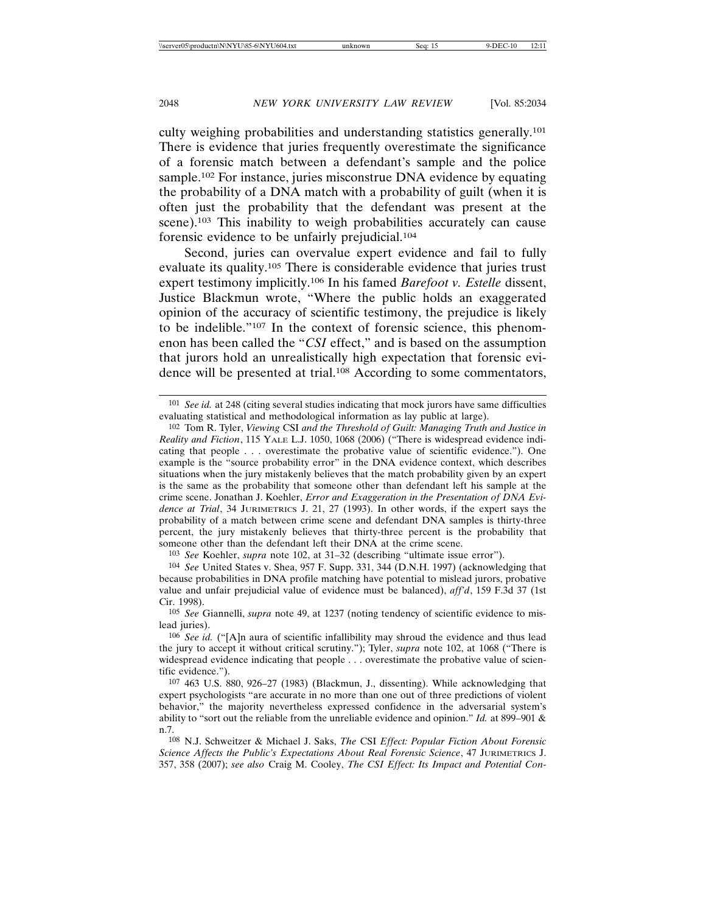culty weighing probabilities and understanding statistics generally.101 There is evidence that juries frequently overestimate the significance of a forensic match between a defendant's sample and the police sample.<sup>102</sup> For instance, juries misconstrue DNA evidence by equating the probability of a DNA match with a probability of guilt (when it is often just the probability that the defendant was present at the scene).<sup>103</sup> This inability to weigh probabilities accurately can cause forensic evidence to be unfairly prejudicial.104

Second, juries can overvalue expert evidence and fail to fully evaluate its quality.105 There is considerable evidence that juries trust expert testimony implicitly.106 In his famed *Barefoot v. Estelle* dissent, Justice Blackmun wrote, "Where the public holds an exaggerated opinion of the accuracy of scientific testimony, the prejudice is likely to be indelible."107 In the context of forensic science, this phenomenon has been called the "*CSI* effect," and is based on the assumption that jurors hold an unrealistically high expectation that forensic evidence will be presented at trial.108 According to some commentators,

103 *See* Koehler, *supra* note 102, at 31–32 (describing "ultimate issue error").

104 *See* United States v. Shea, 957 F. Supp. 331, 344 (D.N.H. 1997) (acknowledging that because probabilities in DNA profile matching have potential to mislead jurors, probative value and unfair prejudicial value of evidence must be balanced), *aff'd*, 159 F.3d 37 (1st Cir. 1998).

105 *See* Giannelli, *supra* note 49, at 1237 (noting tendency of scientific evidence to mislead juries).

106 *See id.* ("[A]n aura of scientific infallibility may shroud the evidence and thus lead the jury to accept it without critical scrutiny."); Tyler, *supra* note 102, at 1068 ("There is widespread evidence indicating that people . . . overestimate the probative value of scientific evidence.").

107 463 U.S. 880, 926–27 (1983) (Blackmun, J., dissenting). While acknowledging that expert psychologists "are accurate in no more than one out of three predictions of violent behavior," the majority nevertheless expressed confidence in the adversarial system's ability to "sort out the reliable from the unreliable evidence and opinion." *Id.* at 899–901 & n.7.

108 N.J. Schweitzer & Michael J. Saks, *The* CSI *Effect: Popular Fiction About Forensic Science Affects the Public's Expectations About Real Forensic Science*, 47 JURIMETRICS J. 357, 358 (2007); *see also* Craig M. Cooley, *The CSI Effect: Its Impact and Potential Con-*

<sup>101</sup> *See id.* at 248 (citing several studies indicating that mock jurors have same difficulties evaluating statistical and methodological information as lay public at large).

<sup>102</sup> Tom R. Tyler, *Viewing* CSI *and the Threshold of Guilt: Managing Truth and Justice in Reality and Fiction*, 115 YALE L.J. 1050, 1068 (2006) ("There is widespread evidence indicating that people . . . overestimate the probative value of scientific evidence."). One example is the "source probability error" in the DNA evidence context, which describes situations when the jury mistakenly believes that the match probability given by an expert is the same as the probability that someone other than defendant left his sample at the crime scene. Jonathan J. Koehler, *Error and Exaggeration in the Presentation of DNA Evidence at Trial*, 34 JURIMETRICS J. 21, 27 (1993). In other words, if the expert says the probability of a match between crime scene and defendant DNA samples is thirty-three percent, the jury mistakenly believes that thirty-three percent is the probability that someone other than the defendant left their DNA at the crime scene.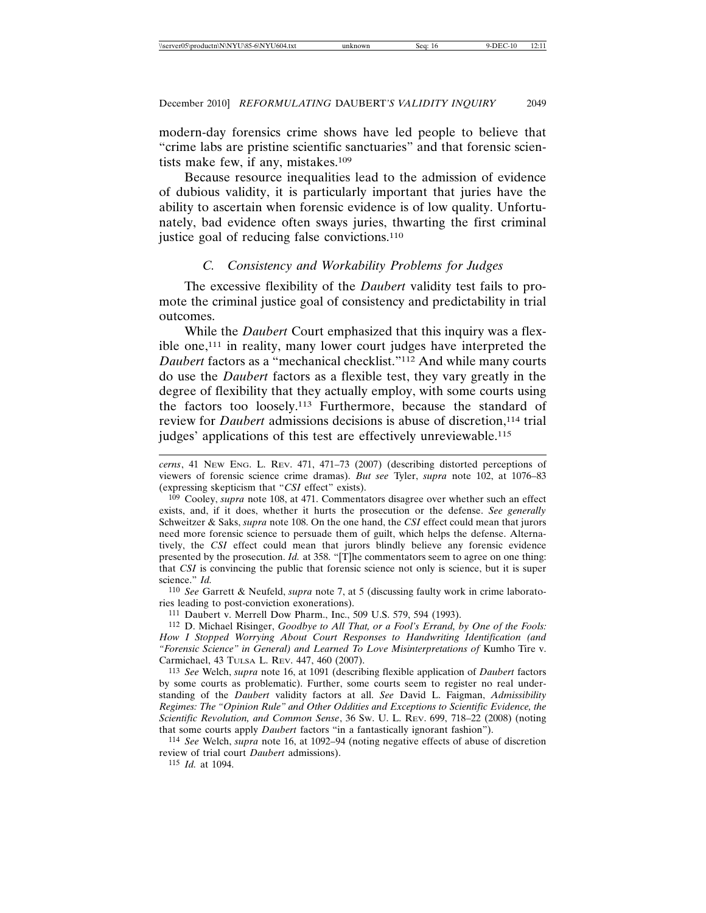modern-day forensics crime shows have led people to believe that "crime labs are pristine scientific sanctuaries" and that forensic scientists make few, if any, mistakes.109

Because resource inequalities lead to the admission of evidence of dubious validity, it is particularly important that juries have the ability to ascertain when forensic evidence is of low quality. Unfortunately, bad evidence often sways juries, thwarting the first criminal justice goal of reducing false convictions.<sup>110</sup>

# *C. Consistency and Workability Problems for Judges*

The excessive flexibility of the *Daubert* validity test fails to promote the criminal justice goal of consistency and predictability in trial outcomes.

While the *Daubert* Court emphasized that this inquiry was a flexible one,111 in reality, many lower court judges have interpreted the *Daubert* factors as a "mechanical checklist."112 And while many courts do use the *Daubert* factors as a flexible test, they vary greatly in the degree of flexibility that they actually employ, with some courts using the factors too loosely.113 Furthermore, because the standard of review for *Daubert* admissions decisions is abuse of discretion,<sup>114</sup> trial judges' applications of this test are effectively unreviewable.<sup>115</sup>

110 *See* Garrett & Neufeld, *supra* note 7, at 5 (discussing faulty work in crime laboratories leading to post-conviction exonerations).

111 Daubert v. Merrell Dow Pharm., Inc., 509 U.S. 579, 594 (1993).

112 D. Michael Risinger, *Goodbye to All That, or a Fool's Errand, by One of the Fools: How I Stopped Worrying About Court Responses to Handwriting Identification (and "Forensic Science" in General) and Learned To Love Misinterpretations of* Kumho Tire v. Carmichael, 43 TULSA L. REV. 447, 460 (2007).

113 *See* Welch, *supra* note 16, at 1091 (describing flexible application of *Daubert* factors by some courts as problematic). Further, some courts seem to register no real understanding of the *Daubert* validity factors at all. *See* David L. Faigman, *Admissibility Regimes: The "Opinion Rule" and Other Oddities and Exceptions to Scientific Evidence, the Scientific Revolution, and Common Sense*, 36 SW. U. L. REV. 699, 718–22 (2008) (noting that some courts apply *Daubert* factors "in a fantastically ignorant fashion").

114 *See* Welch, *supra* note 16, at 1092–94 (noting negative effects of abuse of discretion review of trial court *Daubert* admissions).

115 *Id.* at 1094.

*cerns*, 41 NEW ENG. L. REV. 471, 471–73 (2007) (describing distorted perceptions of viewers of forensic science crime dramas). *But see* Tyler, *supra* note 102, at 1076–83 (expressing skepticism that "*CSI* effect" exists).

<sup>109</sup> Cooley, *supra* note 108, at 471. Commentators disagree over whether such an effect exists, and, if it does, whether it hurts the prosecution or the defense. *See generally* Schweitzer & Saks, *supra* note 108. On the one hand, the *CSI* effect could mean that jurors need more forensic science to persuade them of guilt, which helps the defense. Alternatively, the *CSI* effect could mean that jurors blindly believe any forensic evidence presented by the prosecution. *Id.* at 358. "[T]he commentators seem to agree on one thing: that *CSI* is convincing the public that forensic science not only is science, but it is super science." *Id.*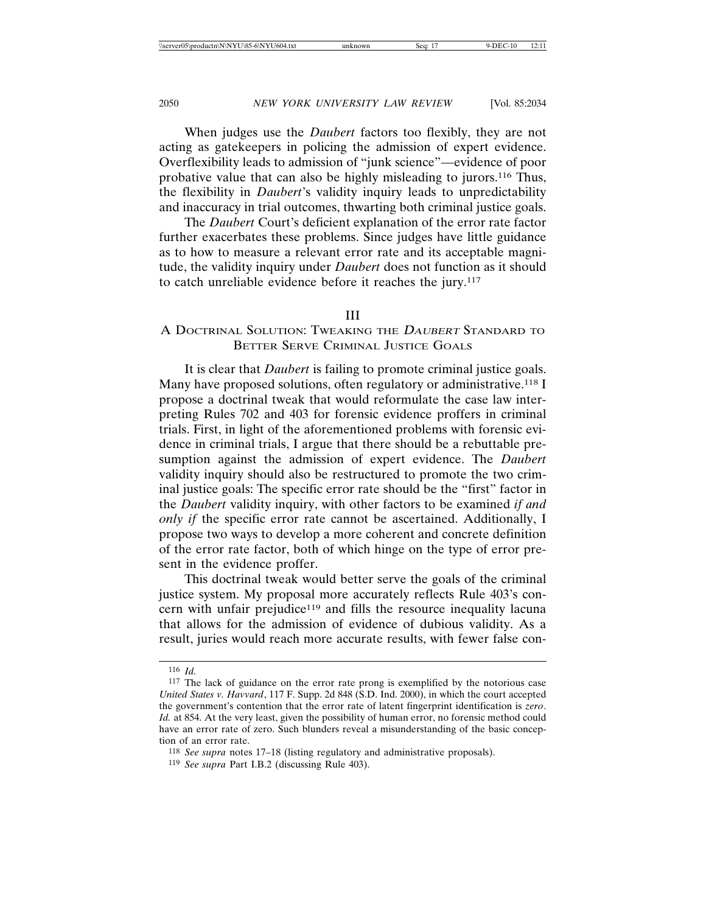When judges use the *Daubert* factors too flexibly, they are not acting as gatekeepers in policing the admission of expert evidence. Overflexibility leads to admission of "junk science"—evidence of poor probative value that can also be highly misleading to jurors.116 Thus, the flexibility in *Daubert*'s validity inquiry leads to unpredictability and inaccuracy in trial outcomes, thwarting both criminal justice goals.

The *Daubert* Court's deficient explanation of the error rate factor further exacerbates these problems. Since judges have little guidance as to how to measure a relevant error rate and its acceptable magnitude, the validity inquiry under *Daubert* does not function as it should to catch unreliable evidence before it reaches the jury.117

#### III

# A DOCTRINAL SOLUTION: TWEAKING THE <sup>D</sup>AUBERT STANDARD TO BETTER SERVE CRIMINAL JUSTICE GOALS

It is clear that *Daubert* is failing to promote criminal justice goals. Many have proposed solutions, often regulatory or administrative.<sup>118</sup> I propose a doctrinal tweak that would reformulate the case law interpreting Rules 702 and 403 for forensic evidence proffers in criminal trials. First, in light of the aforementioned problems with forensic evidence in criminal trials, I argue that there should be a rebuttable presumption against the admission of expert evidence. The *Daubert* validity inquiry should also be restructured to promote the two criminal justice goals: The specific error rate should be the "first" factor in the *Daubert* validity inquiry, with other factors to be examined *if and only if* the specific error rate cannot be ascertained. Additionally, I propose two ways to develop a more coherent and concrete definition of the error rate factor, both of which hinge on the type of error present in the evidence proffer.

This doctrinal tweak would better serve the goals of the criminal justice system. My proposal more accurately reflects Rule 403's concern with unfair prejudice119 and fills the resource inequality lacuna that allows for the admission of evidence of dubious validity. As a result, juries would reach more accurate results, with fewer false con-

<sup>116</sup> *Id.*

<sup>117</sup> The lack of guidance on the error rate prong is exemplified by the notorious case *United States v. Havvard*, 117 F. Supp. 2d 848 (S.D. Ind. 2000), in which the court accepted the government's contention that the error rate of latent fingerprint identification is *zero*. *Id.* at 854. At the very least, given the possibility of human error, no forensic method could have an error rate of zero. Such blunders reveal a misunderstanding of the basic conception of an error rate.

<sup>118</sup> *See supra* notes 17–18 (listing regulatory and administrative proposals).

<sup>119</sup> *See supra* Part I.B.2 (discussing Rule 403).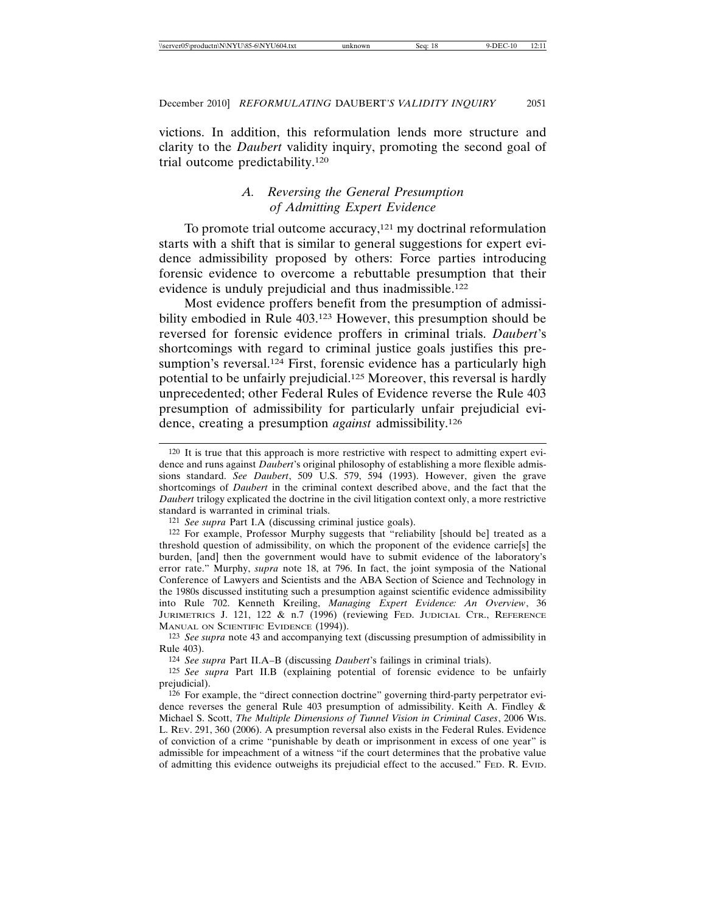victions. In addition, this reformulation lends more structure and clarity to the *Daubert* validity inquiry, promoting the second goal of trial outcome predictability.120

# *A. Reversing the General Presumption of Admitting Expert Evidence*

To promote trial outcome accuracy,<sup>121</sup> my doctrinal reformulation starts with a shift that is similar to general suggestions for expert evidence admissibility proposed by others: Force parties introducing forensic evidence to overcome a rebuttable presumption that their evidence is unduly prejudicial and thus inadmissible.122

Most evidence proffers benefit from the presumption of admissibility embodied in Rule 403.<sup>123</sup> However, this presumption should be reversed for forensic evidence proffers in criminal trials. *Daubert*'s shortcomings with regard to criminal justice goals justifies this presumption's reversal.<sup>124</sup> First, forensic evidence has a particularly high potential to be unfairly prejudicial.125 Moreover, this reversal is hardly unprecedented; other Federal Rules of Evidence reverse the Rule 403 presumption of admissibility for particularly unfair prejudicial evidence, creating a presumption *against* admissibility.126

<sup>120</sup> It is true that this approach is more restrictive with respect to admitting expert evidence and runs against *Daubert*'s original philosophy of establishing a more flexible admissions standard. *See Daubert*, 509 U.S. 579, 594 (1993). However, given the grave shortcomings of *Daubert* in the criminal context described above, and the fact that the *Daubert* trilogy explicated the doctrine in the civil litigation context only, a more restrictive standard is warranted in criminal trials.

<sup>121</sup> *See supra* Part I.A (discussing criminal justice goals).

<sup>122</sup> For example, Professor Murphy suggests that "reliability [should be] treated as a threshold question of admissibility, on which the proponent of the evidence carrie[s] the burden, [and] then the government would have to submit evidence of the laboratory's error rate." Murphy, *supra* note 18, at 796. In fact, the joint symposia of the National Conference of Lawyers and Scientists and the ABA Section of Science and Technology in the 1980s discussed instituting such a presumption against scientific evidence admissibility into Rule 702. Kenneth Kreiling, *Managing Expert Evidence: An Overview*, 36 JURIMETRICS J. 121, 122 & n.7 (1996) (reviewing FED. JUDICIAL CTR., REFERENCE MANUAL ON SCIENTIFIC EVIDENCE (1994)).

<sup>123</sup> *See supra* note 43 and accompanying text (discussing presumption of admissibility in Rule 403).

<sup>124</sup> *See supra* Part II.A–B (discussing *Daubert*'s failings in criminal trials).

<sup>125</sup> *See supra* Part II.B (explaining potential of forensic evidence to be unfairly prejudicial).

<sup>126</sup> For example, the "direct connection doctrine" governing third-party perpetrator evidence reverses the general Rule 403 presumption of admissibility. Keith A. Findley & Michael S. Scott, *The Multiple Dimensions of Tunnel Vision in Criminal Cases*, 2006 WIS. L. REV. 291, 360 (2006). A presumption reversal also exists in the Federal Rules. Evidence of conviction of a crime "punishable by death or imprisonment in excess of one year" is admissible for impeachment of a witness "if the court determines that the probative value of admitting this evidence outweighs its prejudicial effect to the accused." FED. R. EVID.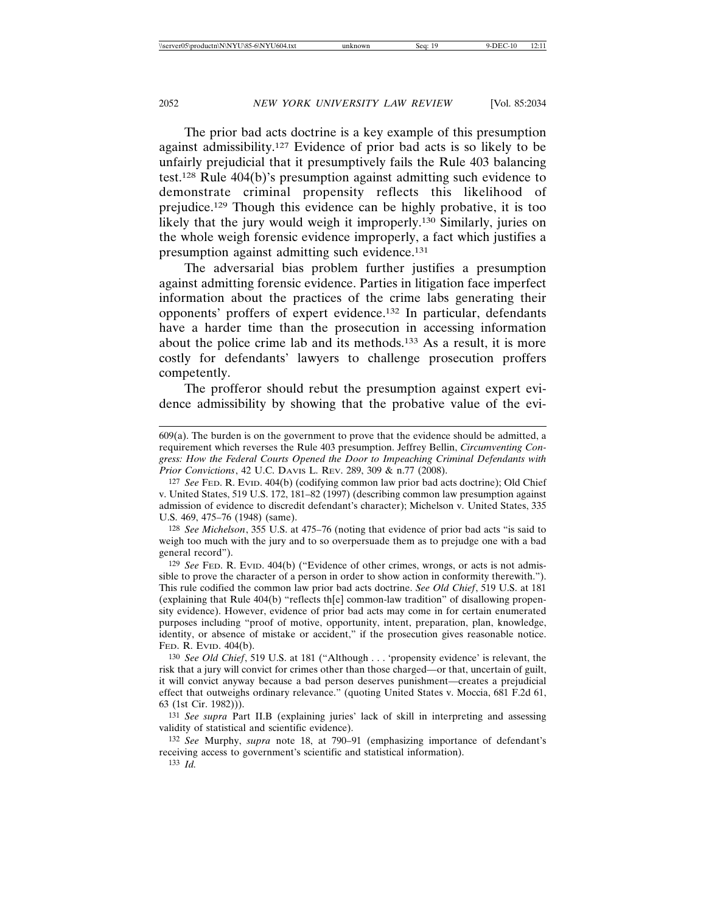The prior bad acts doctrine is a key example of this presumption against admissibility.127 Evidence of prior bad acts is so likely to be unfairly prejudicial that it presumptively fails the Rule 403 balancing test.128 Rule 404(b)'s presumption against admitting such evidence to demonstrate criminal propensity reflects this likelihood of prejudice.129 Though this evidence can be highly probative, it is too likely that the jury would weigh it improperly.130 Similarly, juries on the whole weigh forensic evidence improperly, a fact which justifies a presumption against admitting such evidence.131

The adversarial bias problem further justifies a presumption against admitting forensic evidence. Parties in litigation face imperfect information about the practices of the crime labs generating their opponents' proffers of expert evidence.132 In particular, defendants have a harder time than the prosecution in accessing information about the police crime lab and its methods.133 As a result, it is more costly for defendants' lawyers to challenge prosecution proffers competently.

The profferor should rebut the presumption against expert evidence admissibility by showing that the probative value of the evi-

128 *See Michelson*, 355 U.S. at 475–76 (noting that evidence of prior bad acts "is said to weigh too much with the jury and to so overpersuade them as to prejudge one with a bad general record").

129 *See* FED. R. EVID. 404(b) ("Evidence of other crimes, wrongs, or acts is not admissible to prove the character of a person in order to show action in conformity therewith."). This rule codified the common law prior bad acts doctrine. *See Old Chief*, 519 U.S. at 181 (explaining that Rule  $404(b)$  "reflects th $[e]$  common-law tradition" of disallowing propensity evidence). However, evidence of prior bad acts may come in for certain enumerated purposes including "proof of motive, opportunity, intent, preparation, plan, knowledge, identity, or absence of mistake or accident," if the prosecution gives reasonable notice. FED. R. EVID. 404(b).

130 *See Old Chief*, 519 U.S. at 181 ("Although . . . 'propensity evidence' is relevant, the risk that a jury will convict for crimes other than those charged—or that, uncertain of guilt, it will convict anyway because a bad person deserves punishment—creates a prejudicial effect that outweighs ordinary relevance." (quoting United States v. Moccia, 681 F.2d 61, 63 (1st Cir. 1982))).

131 *See supra* Part II.B (explaining juries' lack of skill in interpreting and assessing validity of statistical and scientific evidence).

132 *See* Murphy, *supra* note 18, at 790–91 (emphasizing importance of defendant's receiving access to government's scientific and statistical information).

133 *Id.*

<sup>609(</sup>a). The burden is on the government to prove that the evidence should be admitted, a requirement which reverses the Rule 403 presumption. Jeffrey Bellin, *Circumventing Congress: How the Federal Courts Opened the Door to Impeaching Criminal Defendants with Prior Convictions*, 42 U.C. DAVIS L. REV. 289, 309 & n.77 (2008).

<sup>127</sup> *See* FED. R. EVID. 404(b) (codifying common law prior bad acts doctrine); Old Chief v. United States, 519 U.S. 172, 181–82 (1997) (describing common law presumption against admission of evidence to discredit defendant's character); Michelson v. United States, 335 U.S. 469, 475–76 (1948) (same).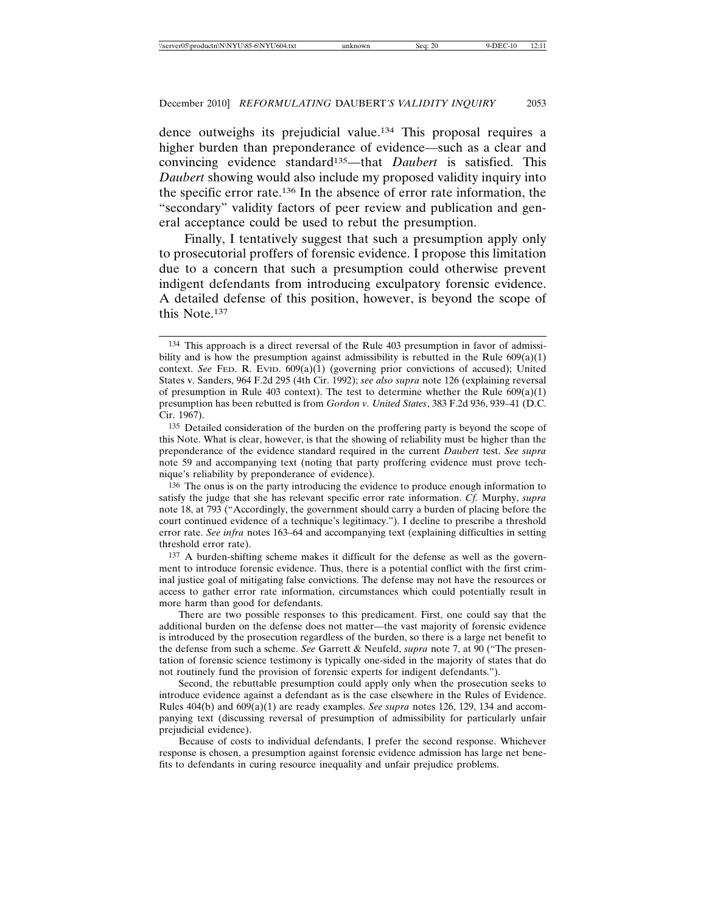dence outweighs its prejudicial value.134 This proposal requires a higher burden than preponderance of evidence—such as a clear and convincing evidence standard135—that *Daubert* is satisfied. This *Daubert* showing would also include my proposed validity inquiry into the specific error rate.136 In the absence of error rate information, the "secondary" validity factors of peer review and publication and general acceptance could be used to rebut the presumption.

Finally, I tentatively suggest that such a presumption apply only to prosecutorial proffers of forensic evidence. I propose this limitation due to a concern that such a presumption could otherwise prevent indigent defendants from introducing exculpatory forensic evidence. A detailed defense of this position, however, is beyond the scope of this Note.137

<sup>134</sup> This approach is a direct reversal of the Rule 403 presumption in favor of admissibility and is how the presumption against admissibility is rebutted in the Rule  $609(a)(1)$ context. *See* FED. R. EVID.  $609(a)(1)$  (governing prior convictions of accused); United States v. Sanders, 964 F.2d 295 (4th Cir. 1992); *see also supra* note 126 (explaining reversal of presumption in Rule 403 context). The test to determine whether the Rule  $609(a)(1)$ presumption has been rebutted is from *Gordon v. United States*, 383 F.2d 936, 939–41 (D.C. Cir. 1967).

<sup>135</sup> Detailed consideration of the burden on the proffering party is beyond the scope of this Note. What is clear, however, is that the showing of reliability must be higher than the preponderance of the evidence standard required in the current *Daubert* test. *See supra* note 59 and accompanying text (noting that party proffering evidence must prove technique's reliability by preponderance of evidence).

<sup>136</sup> The onus is on the party introducing the evidence to produce enough information to satisfy the judge that she has relevant specific error rate information. *Cf.* Murphy, *supra* note 18, at 793 ("Accordingly, the government should carry a burden of placing before the court continued evidence of a technique's legitimacy."). I decline to prescribe a threshold error rate. *See infra* notes 163–64 and accompanying text (explaining difficulties in setting threshold error rate).

<sup>137</sup> A burden-shifting scheme makes it difficult for the defense as well as the government to introduce forensic evidence. Thus, there is a potential conflict with the first criminal justice goal of mitigating false convictions. The defense may not have the resources or access to gather error rate information, circumstances which could potentially result in more harm than good for defendants.

There are two possible responses to this predicament. First, one could say that the additional burden on the defense does not matter—the vast majority of forensic evidence is introduced by the prosecution regardless of the burden, so there is a large net benefit to the defense from such a scheme. *See* Garrett & Neufeld, *supra* note 7, at 90 ("The presentation of forensic science testimony is typically one-sided in the majority of states that do not routinely fund the provision of forensic experts for indigent defendants.").

Second, the rebuttable presumption could apply only when the prosecution seeks to introduce evidence against a defendant as is the case elsewhere in the Rules of Evidence. Rules 404(b) and 609(a)(1) are ready examples. *See supra* notes 126, 129, 134 and accompanying text (discussing reversal of presumption of admissibility for particularly unfair prejudicial evidence).

Because of costs to individual defendants, I prefer the second response. Whichever response is chosen, a presumption against forensic evidence admission has large net benefits to defendants in curing resource inequality and unfair prejudice problems.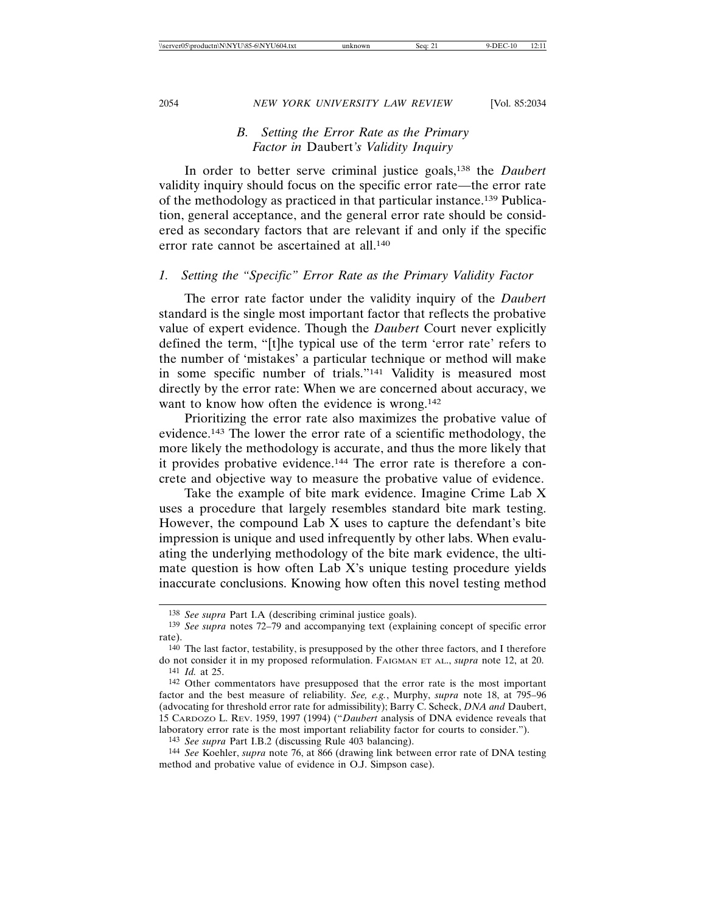# *B. Setting the Error Rate as the Primary Factor in* Daubert*'s Validity Inquiry*

In order to better serve criminal justice goals,138 the *Daubert* validity inquiry should focus on the specific error rate—the error rate of the methodology as practiced in that particular instance.139 Publication, general acceptance, and the general error rate should be considered as secondary factors that are relevant if and only if the specific error rate cannot be ascertained at all.140

#### *1. Setting the "Specific" Error Rate as the Primary Validity Factor*

The error rate factor under the validity inquiry of the *Daubert* standard is the single most important factor that reflects the probative value of expert evidence. Though the *Daubert* Court never explicitly defined the term, "[t]he typical use of the term 'error rate' refers to the number of 'mistakes' a particular technique or method will make in some specific number of trials."141 Validity is measured most directly by the error rate: When we are concerned about accuracy, we want to know how often the evidence is wrong.<sup>142</sup>

Prioritizing the error rate also maximizes the probative value of evidence.143 The lower the error rate of a scientific methodology, the more likely the methodology is accurate, and thus the more likely that it provides probative evidence.144 The error rate is therefore a concrete and objective way to measure the probative value of evidence.

Take the example of bite mark evidence. Imagine Crime Lab X uses a procedure that largely resembles standard bite mark testing. However, the compound Lab X uses to capture the defendant's bite impression is unique and used infrequently by other labs. When evaluating the underlying methodology of the bite mark evidence, the ultimate question is how often Lab X's unique testing procedure yields inaccurate conclusions. Knowing how often this novel testing method

143 *See supra* Part I.B.2 (discussing Rule 403 balancing).

<sup>138</sup> *See supra* Part I.A (describing criminal justice goals).

<sup>139</sup> *See supra* notes 72–79 and accompanying text (explaining concept of specific error rate).

<sup>140</sup> The last factor, testability, is presupposed by the other three factors, and I therefore do not consider it in my proposed reformulation. FAIGMAN ET AL., *supra* note 12, at 20. 141 *Id.* at 25.

<sup>142</sup> Other commentators have presupposed that the error rate is the most important factor and the best measure of reliability. *See, e.g.*, Murphy, *supra* note 18, at 795–96 (advocating for threshold error rate for admissibility); Barry C. Scheck, *DNA and* Daubert, 15 CARDOZO L. REV. 1959, 1997 (1994) ("*Daubert* analysis of DNA evidence reveals that laboratory error rate is the most important reliability factor for courts to consider.").

<sup>144</sup> *See* Koehler, *supra* note 76, at 866 (drawing link between error rate of DNA testing method and probative value of evidence in O.J. Simpson case).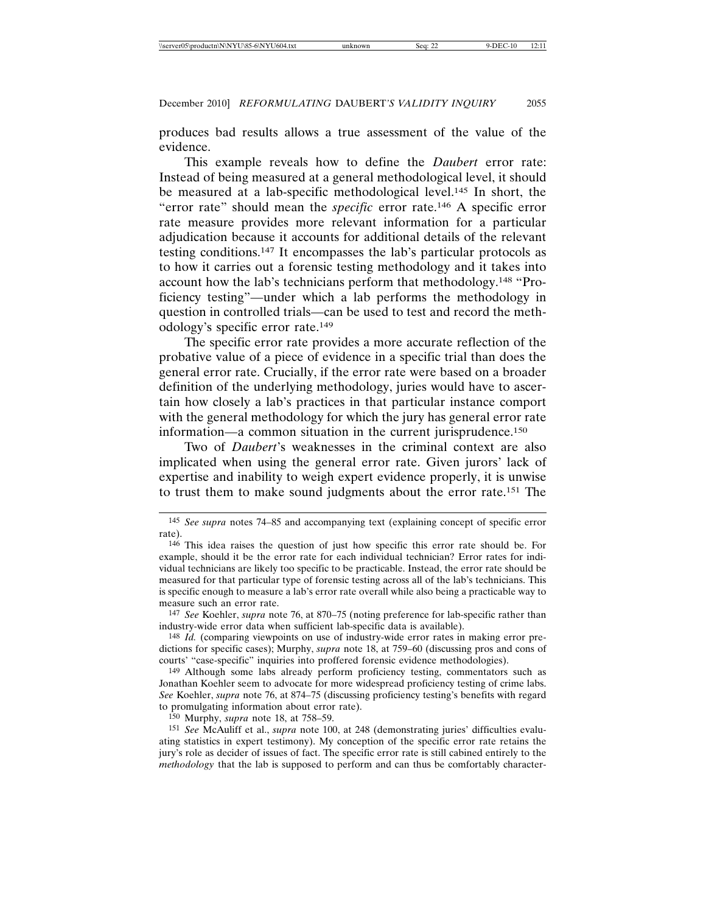produces bad results allows a true assessment of the value of the evidence.

This example reveals how to define the *Daubert* error rate: Instead of being measured at a general methodological level, it should be measured at a lab-specific methodological level.145 In short, the "error rate" should mean the *specific* error rate.146 A specific error rate measure provides more relevant information for a particular adjudication because it accounts for additional details of the relevant testing conditions.147 It encompasses the lab's particular protocols as to how it carries out a forensic testing methodology and it takes into account how the lab's technicians perform that methodology.148 "Proficiency testing"—under which a lab performs the methodology in question in controlled trials—can be used to test and record the methodology's specific error rate.149

The specific error rate provides a more accurate reflection of the probative value of a piece of evidence in a specific trial than does the general error rate. Crucially, if the error rate were based on a broader definition of the underlying methodology, juries would have to ascertain how closely a lab's practices in that particular instance comport with the general methodology for which the jury has general error rate information—a common situation in the current jurisprudence.150

Two of *Daubert*'s weaknesses in the criminal context are also implicated when using the general error rate. Given jurors' lack of expertise and inability to weigh expert evidence properly, it is unwise to trust them to make sound judgments about the error rate.151 The

147 *See* Koehler, *supra* note 76, at 870–75 (noting preference for lab-specific rather than industry-wide error data when sufficient lab-specific data is available).

148 *Id.* (comparing viewpoints on use of industry-wide error rates in making error predictions for specific cases); Murphy, *supra* note 18, at 759–60 (discussing pros and cons of courts' "case-specific" inquiries into proffered forensic evidence methodologies).

149 Although some labs already perform proficiency testing, commentators such as Jonathan Koehler seem to advocate for more widespread proficiency testing of crime labs. *See* Koehler, *supra* note 76, at 874–75 (discussing proficiency testing's benefits with regard to promulgating information about error rate).

150 Murphy, *supra* note 18, at 758–59.

151 *See* McAuliff et al., *supra* note 100, at 248 (demonstrating juries' difficulties evaluating statistics in expert testimony). My conception of the specific error rate retains the jury's role as decider of issues of fact. The specific error rate is still cabined entirely to the *methodology* that the lab is supposed to perform and can thus be comfortably character-

<sup>145</sup> *See supra* notes 74–85 and accompanying text (explaining concept of specific error rate).

<sup>146</sup> This idea raises the question of just how specific this error rate should be. For example, should it be the error rate for each individual technician? Error rates for individual technicians are likely too specific to be practicable. Instead, the error rate should be measured for that particular type of forensic testing across all of the lab's technicians. This is specific enough to measure a lab's error rate overall while also being a practicable way to measure such an error rate.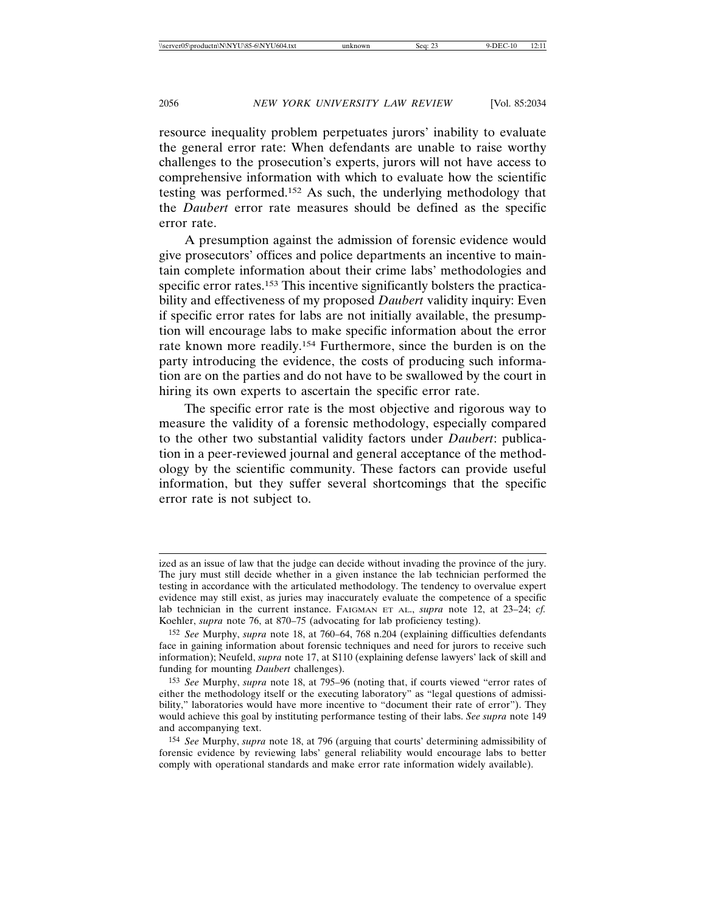resource inequality problem perpetuates jurors' inability to evaluate the general error rate: When defendants are unable to raise worthy challenges to the prosecution's experts, jurors will not have access to comprehensive information with which to evaluate how the scientific testing was performed.152 As such, the underlying methodology that the *Daubert* error rate measures should be defined as the specific error rate.

A presumption against the admission of forensic evidence would give prosecutors' offices and police departments an incentive to maintain complete information about their crime labs' methodologies and specific error rates.<sup>153</sup> This incentive significantly bolsters the practicability and effectiveness of my proposed *Daubert* validity inquiry: Even if specific error rates for labs are not initially available, the presumption will encourage labs to make specific information about the error rate known more readily.154 Furthermore, since the burden is on the party introducing the evidence, the costs of producing such information are on the parties and do not have to be swallowed by the court in hiring its own experts to ascertain the specific error rate.

The specific error rate is the most objective and rigorous way to measure the validity of a forensic methodology, especially compared to the other two substantial validity factors under *Daubert*: publication in a peer-reviewed journal and general acceptance of the methodology by the scientific community. These factors can provide useful information, but they suffer several shortcomings that the specific error rate is not subject to.

ized as an issue of law that the judge can decide without invading the province of the jury. The jury must still decide whether in a given instance the lab technician performed the testing in accordance with the articulated methodology. The tendency to overvalue expert evidence may still exist, as juries may inaccurately evaluate the competence of a specific lab technician in the current instance. FAIGMAN ET AL., *supra* note 12, at 23–24; *cf.* Koehler, *supra* note 76, at 870–75 (advocating for lab proficiency testing).

<sup>152</sup> *See* Murphy, *supra* note 18, at 760–64, 768 n.204 (explaining difficulties defendants face in gaining information about forensic techniques and need for jurors to receive such information); Neufeld, *supra* note 17, at S110 (explaining defense lawyers' lack of skill and funding for mounting *Daubert* challenges).

<sup>153</sup> *See* Murphy, *supra* note 18, at 795–96 (noting that, if courts viewed "error rates of either the methodology itself or the executing laboratory" as "legal questions of admissibility," laboratories would have more incentive to "document their rate of error"). They would achieve this goal by instituting performance testing of their labs. *See supra* note 149 and accompanying text.

<sup>154</sup> *See* Murphy, *supra* note 18, at 796 (arguing that courts' determining admissibility of forensic evidence by reviewing labs' general reliability would encourage labs to better comply with operational standards and make error rate information widely available).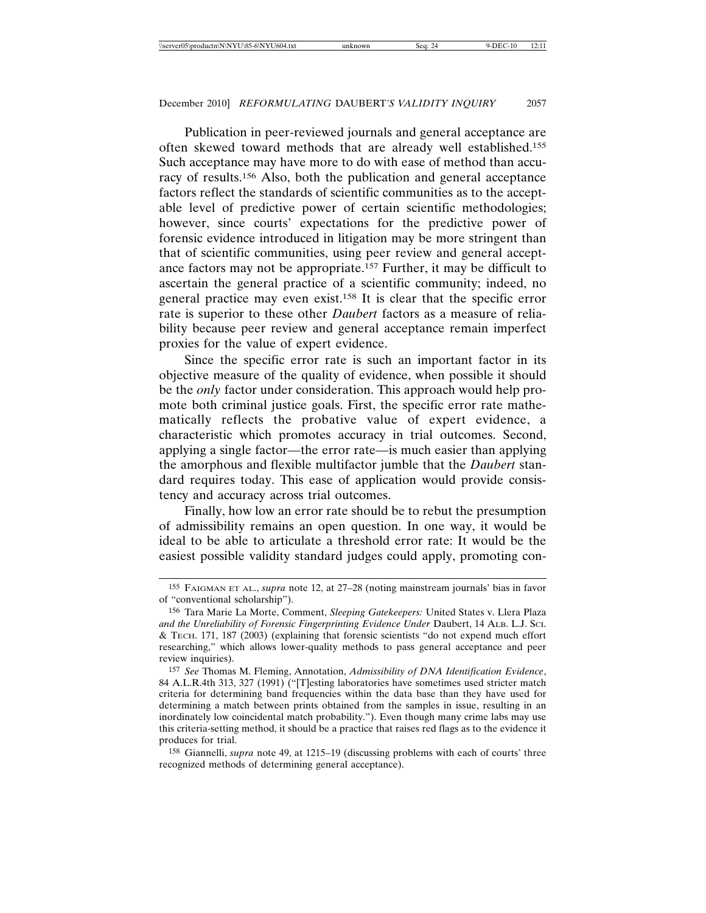Publication in peer-reviewed journals and general acceptance are often skewed toward methods that are already well established.155 Such acceptance may have more to do with ease of method than accuracy of results.156 Also, both the publication and general acceptance factors reflect the standards of scientific communities as to the acceptable level of predictive power of certain scientific methodologies; however, since courts' expectations for the predictive power of forensic evidence introduced in litigation may be more stringent than that of scientific communities, using peer review and general acceptance factors may not be appropriate.157 Further, it may be difficult to ascertain the general practice of a scientific community; indeed, no general practice may even exist.158 It is clear that the specific error rate is superior to these other *Daubert* factors as a measure of reliability because peer review and general acceptance remain imperfect proxies for the value of expert evidence.

Since the specific error rate is such an important factor in its objective measure of the quality of evidence, when possible it should be the *only* factor under consideration. This approach would help promote both criminal justice goals. First, the specific error rate mathematically reflects the probative value of expert evidence, a characteristic which promotes accuracy in trial outcomes. Second, applying a single factor—the error rate—is much easier than applying the amorphous and flexible multifactor jumble that the *Daubert* standard requires today. This ease of application would provide consistency and accuracy across trial outcomes.

Finally, how low an error rate should be to rebut the presumption of admissibility remains an open question. In one way, it would be ideal to be able to articulate a threshold error rate: It would be the easiest possible validity standard judges could apply, promoting con-

<sup>155</sup> FAIGMAN ET AL., *supra* note 12, at 27–28 (noting mainstream journals' bias in favor of "conventional scholarship").

<sup>156</sup> Tara Marie La Morte, Comment, *Sleeping Gatekeepers:* United States v. Llera Plaza *and the Unreliability of Forensic Fingerprinting Evidence Under* Daubert, 14 ALB. L.J. SCI. & TECH. 171, 187 (2003) (explaining that forensic scientists "do not expend much effort researching," which allows lower-quality methods to pass general acceptance and peer review inquiries).

<sup>157</sup> *See* Thomas M. Fleming, Annotation, *Admissibility of DNA Identification Evidence*, 84 A.L.R.4th 313, 327 (1991) ("[T]esting laboratories have sometimes used stricter match criteria for determining band frequencies within the data base than they have used for determining a match between prints obtained from the samples in issue, resulting in an inordinately low coincidental match probability."). Even though many crime labs may use this criteria-setting method, it should be a practice that raises red flags as to the evidence it produces for trial.

<sup>158</sup> Giannelli, *supra* note 49, at 1215–19 (discussing problems with each of courts' three recognized methods of determining general acceptance).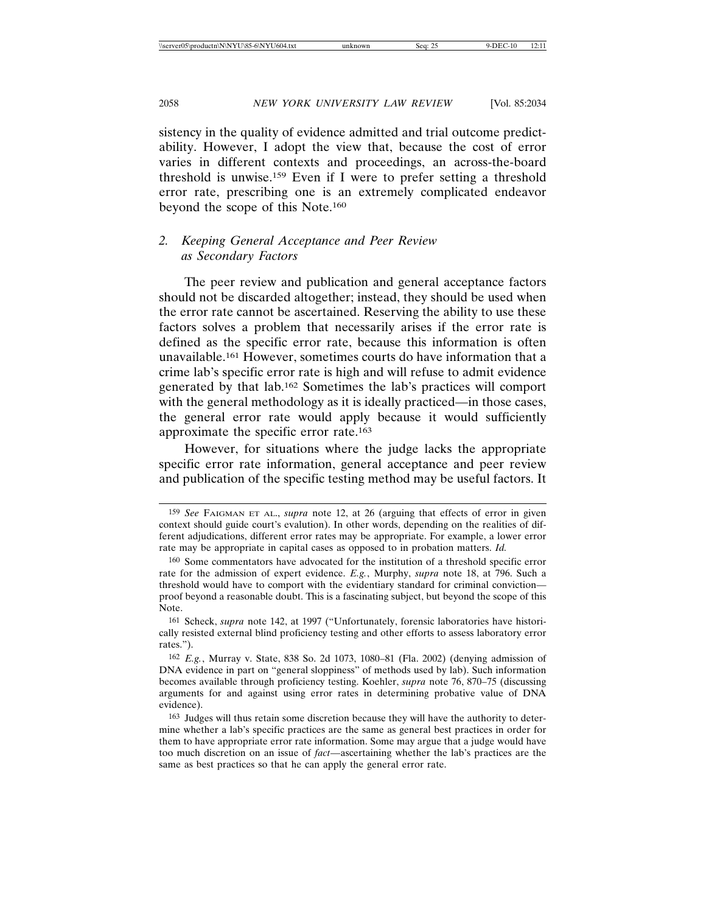sistency in the quality of evidence admitted and trial outcome predictability. However, I adopt the view that, because the cost of error varies in different contexts and proceedings, an across-the-board threshold is unwise.159 Even if I were to prefer setting a threshold error rate, prescribing one is an extremely complicated endeavor beyond the scope of this Note.160

# *2. Keeping General Acceptance and Peer Review as Secondary Factors*

The peer review and publication and general acceptance factors should not be discarded altogether; instead, they should be used when the error rate cannot be ascertained. Reserving the ability to use these factors solves a problem that necessarily arises if the error rate is defined as the specific error rate, because this information is often unavailable.161 However, sometimes courts do have information that a crime lab's specific error rate is high and will refuse to admit evidence generated by that lab.162 Sometimes the lab's practices will comport with the general methodology as it is ideally practiced—in those cases, the general error rate would apply because it would sufficiently approximate the specific error rate.163

However, for situations where the judge lacks the appropriate specific error rate information, general acceptance and peer review and publication of the specific testing method may be useful factors. It

<sup>159</sup> *See* FAIGMAN ET AL., *supra* note 12, at 26 (arguing that effects of error in given context should guide court's evalution). In other words, depending on the realities of different adjudications, different error rates may be appropriate. For example, a lower error rate may be appropriate in capital cases as opposed to in probation matters. *Id.*

<sup>160</sup> Some commentators have advocated for the institution of a threshold specific error rate for the admission of expert evidence. *E.g.*, Murphy, *supra* note 18, at 796. Such a threshold would have to comport with the evidentiary standard for criminal conviction proof beyond a reasonable doubt. This is a fascinating subject, but beyond the scope of this Note.

<sup>161</sup> Scheck, *supra* note 142, at 1997 ("Unfortunately, forensic laboratories have historically resisted external blind proficiency testing and other efforts to assess laboratory error rates.").

<sup>162</sup> *E.g.*, Murray v. State, 838 So. 2d 1073, 1080–81 (Fla. 2002) (denying admission of DNA evidence in part on "general sloppiness" of methods used by lab). Such information becomes available through proficiency testing. Koehler, *supra* note 76, 870–75 (discussing arguments for and against using error rates in determining probative value of DNA evidence).

<sup>163</sup> Judges will thus retain some discretion because they will have the authority to determine whether a lab's specific practices are the same as general best practices in order for them to have appropriate error rate information. Some may argue that a judge would have too much discretion on an issue of *fact*—ascertaining whether the lab's practices are the same as best practices so that he can apply the general error rate.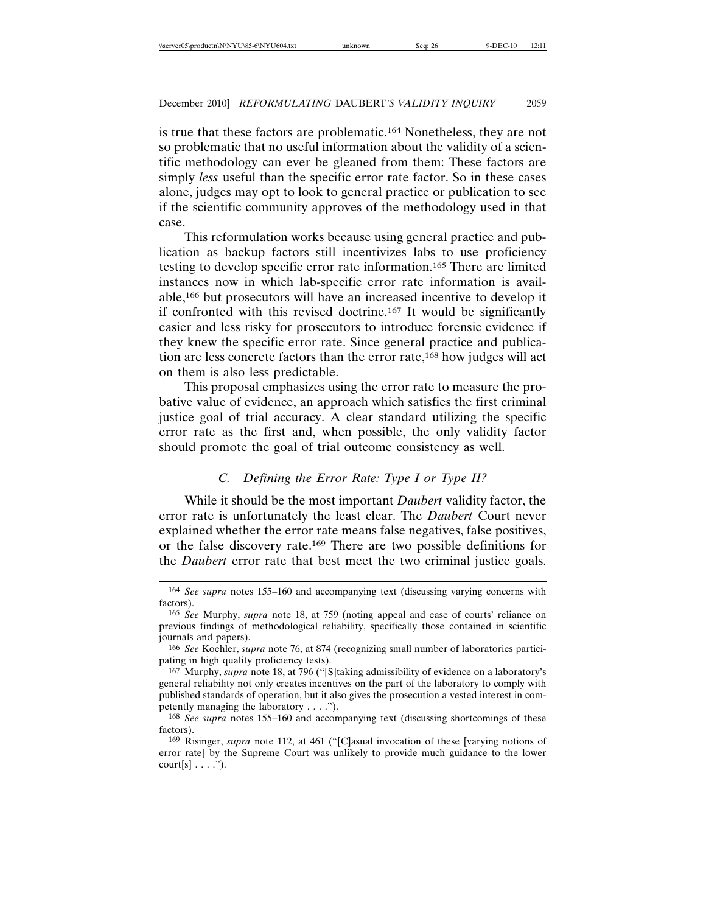is true that these factors are problematic.164 Nonetheless, they are not so problematic that no useful information about the validity of a scientific methodology can ever be gleaned from them: These factors are simply *less* useful than the specific error rate factor. So in these cases alone, judges may opt to look to general practice or publication to see if the scientific community approves of the methodology used in that case.

This reformulation works because using general practice and publication as backup factors still incentivizes labs to use proficiency testing to develop specific error rate information.165 There are limited instances now in which lab-specific error rate information is available,166 but prosecutors will have an increased incentive to develop it if confronted with this revised doctrine.167 It would be significantly easier and less risky for prosecutors to introduce forensic evidence if they knew the specific error rate. Since general practice and publication are less concrete factors than the error rate,168 how judges will act on them is also less predictable.

This proposal emphasizes using the error rate to measure the probative value of evidence, an approach which satisfies the first criminal justice goal of trial accuracy. A clear standard utilizing the specific error rate as the first and, when possible, the only validity factor should promote the goal of trial outcome consistency as well.

# *C. Defining the Error Rate: Type I or Type II?*

While it should be the most important *Daubert* validity factor, the error rate is unfortunately the least clear. The *Daubert* Court never explained whether the error rate means false negatives, false positives, or the false discovery rate.169 There are two possible definitions for the *Daubert* error rate that best meet the two criminal justice goals.

<sup>164</sup> *See supra* notes 155–160 and accompanying text (discussing varying concerns with factors).

<sup>165</sup> *See* Murphy, *supra* note 18, at 759 (noting appeal and ease of courts' reliance on previous findings of methodological reliability, specifically those contained in scientific journals and papers).

<sup>166</sup> *See* Koehler, *supra* note 76, at 874 (recognizing small number of laboratories participating in high quality proficiency tests).

<sup>167</sup> Murphy, *supra* note 18, at 796 ("[S]taking admissibility of evidence on a laboratory's general reliability not only creates incentives on the part of the laboratory to comply with published standards of operation, but it also gives the prosecution a vested interest in competently managing the laboratory . . . .").

<sup>168</sup> *See supra* notes 155–160 and accompanying text (discussing shortcomings of these factors).

<sup>169</sup> Risinger, *supra* note 112, at 461 ("[C]asual invocation of these [varying notions of error rate] by the Supreme Court was unlikely to provide much guidance to the lower  $court[s] \ldots$ ").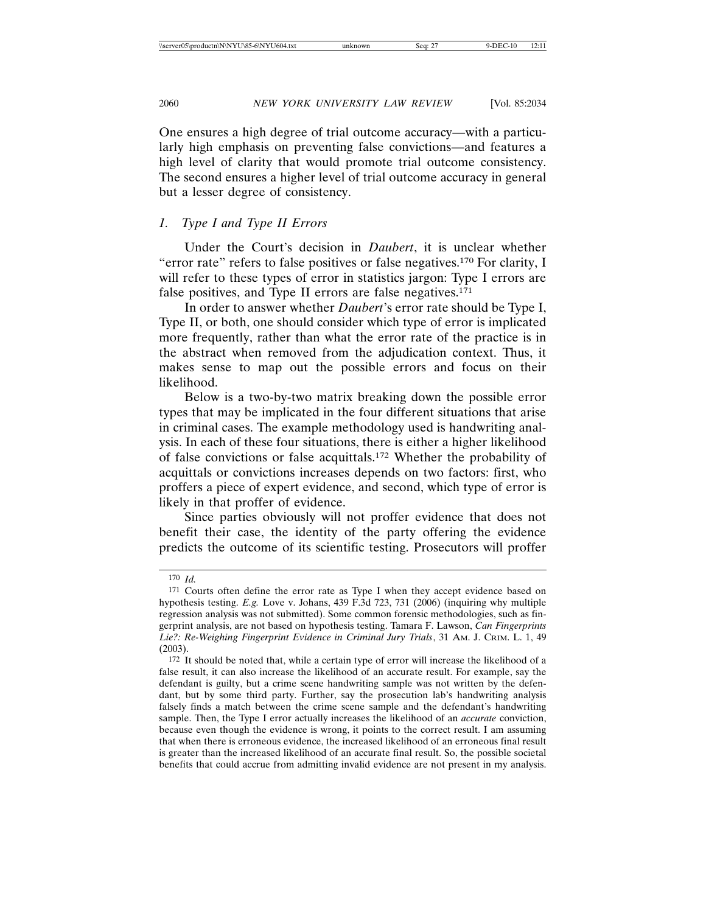One ensures a high degree of trial outcome accuracy—with a particularly high emphasis on preventing false convictions—and features a high level of clarity that would promote trial outcome consistency. The second ensures a higher level of trial outcome accuracy in general but a lesser degree of consistency.

#### *1. Type I and Type II Errors*

Under the Court's decision in *Daubert*, it is unclear whether "error rate" refers to false positives or false negatives.170 For clarity, I will refer to these types of error in statistics jargon: Type I errors are false positives, and Type II errors are false negatives.<sup>171</sup>

In order to answer whether *Daubert*'s error rate should be Type I, Type II, or both, one should consider which type of error is implicated more frequently, rather than what the error rate of the practice is in the abstract when removed from the adjudication context. Thus, it makes sense to map out the possible errors and focus on their likelihood.

Below is a two-by-two matrix breaking down the possible error types that may be implicated in the four different situations that arise in criminal cases. The example methodology used is handwriting analysis. In each of these four situations, there is either a higher likelihood of false convictions or false acquittals.172 Whether the probability of acquittals or convictions increases depends on two factors: first, who proffers a piece of expert evidence, and second, which type of error is likely in that proffer of evidence.

Since parties obviously will not proffer evidence that does not benefit their case, the identity of the party offering the evidence predicts the outcome of its scientific testing. Prosecutors will proffer

<sup>170</sup> *Id.*

<sup>171</sup> Courts often define the error rate as Type I when they accept evidence based on hypothesis testing. *E.g.* Love v. Johans, 439 F.3d 723, 731 (2006) (inquiring why multiple regression analysis was not submitted). Some common forensic methodologies, such as fingerprint analysis, are not based on hypothesis testing. Tamara F. Lawson, *Can Fingerprints Lie?: Re-Weighing Fingerprint Evidence in Criminal Jury Trials*, 31 AM. J. CRIM. L. 1, 49 (2003).

<sup>172</sup> It should be noted that, while a certain type of error will increase the likelihood of a false result, it can also increase the likelihood of an accurate result. For example, say the defendant is guilty, but a crime scene handwriting sample was not written by the defendant, but by some third party. Further, say the prosecution lab's handwriting analysis falsely finds a match between the crime scene sample and the defendant's handwriting sample. Then, the Type I error actually increases the likelihood of an *accurate* conviction, because even though the evidence is wrong, it points to the correct result. I am assuming that when there is erroneous evidence, the increased likelihood of an erroneous final result is greater than the increased likelihood of an accurate final result. So, the possible societal benefits that could accrue from admitting invalid evidence are not present in my analysis.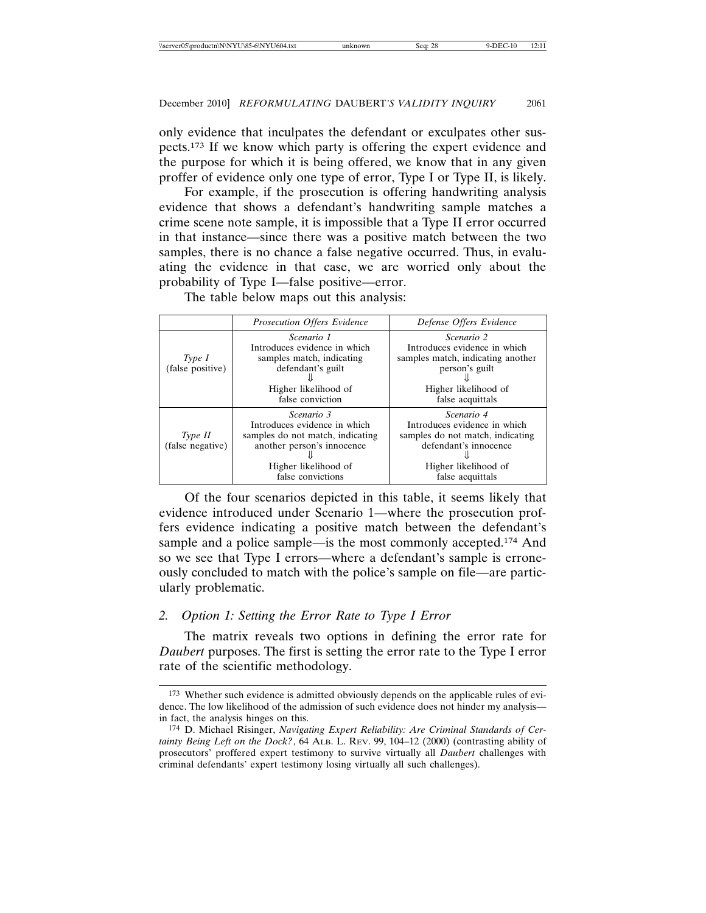only evidence that inculpates the defendant or exculpates other suspects.173 If we know which party is offering the expert evidence and the purpose for which it is being offered, we know that in any given proffer of evidence only one type of error, Type I or Type II, is likely.

For example, if the prosecution is offering handwriting analysis evidence that shows a defendant's handwriting sample matches a crime scene note sample, it is impossible that a Type II error occurred in that instance—since there was a positive match between the two samples, there is no chance a false negative occurred. Thus, in evaluating the evidence in that case, we are worried only about the probability of Type I—false positive—error.

|                             | Prosecution Offers Evidence                                                                                                                                      | Defense Offers Evidence                                                                                                                              |
|-----------------------------|------------------------------------------------------------------------------------------------------------------------------------------------------------------|------------------------------------------------------------------------------------------------------------------------------------------------------|
| Type I<br>(false positive)  | Scenario 1<br>Introduces evidence in which<br>samples match, indicating<br>defendant's guilt<br>Higher likelihood of<br>false conviction                         | <i>Scenario</i> 2<br>Introduces evidence in which<br>samples match, indicating another<br>person's guilt<br>Higher likelihood of<br>false acquittals |
| Type II<br>(false negative) | <i>Scenario</i> 3<br>Introduces evidence in which<br>samples do not match, indicating<br>another person's innocence<br>Higher likelihood of<br>false convictions | Scenario 4<br>Introduces evidence in which<br>samples do not match, indicating<br>defendant's innocence<br>Higher likelihood of<br>false acquittals  |

The table below maps out this analysis:

Of the four scenarios depicted in this table, it seems likely that evidence introduced under Scenario 1—where the prosecution proffers evidence indicating a positive match between the defendant's sample and a police sample—is the most commonly accepted.<sup>174</sup> And so we see that Type I errors—where a defendant's sample is erroneously concluded to match with the police's sample on file—are particularly problematic.

# *2. Option 1: Setting the Error Rate to Type I Error*

The matrix reveals two options in defining the error rate for *Daubert* purposes. The first is setting the error rate to the Type I error rate of the scientific methodology.

<sup>173</sup> Whether such evidence is admitted obviously depends on the applicable rules of evidence. The low likelihood of the admission of such evidence does not hinder my analysis in fact, the analysis hinges on this.

<sup>174</sup> D. Michael Risinger, *Navigating Expert Reliability: Are Criminal Standards of Certainty Being Left on the Dock?*, 64 ALB. L. REV. 99, 104–12 (2000) (contrasting ability of prosecutors' proffered expert testimony to survive virtually all *Daubert* challenges with criminal defendants' expert testimony losing virtually all such challenges).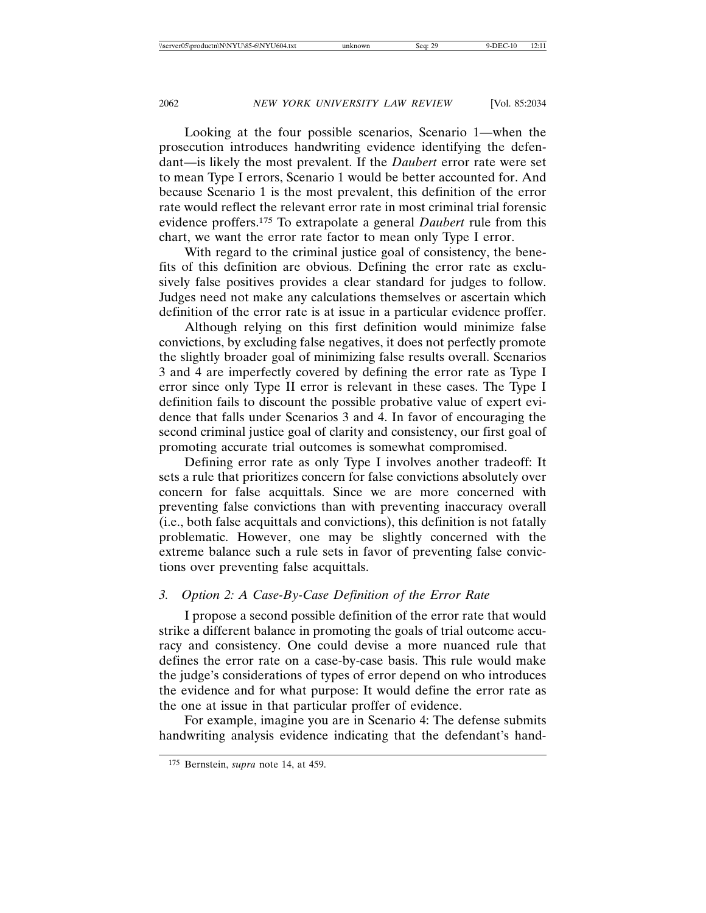Looking at the four possible scenarios, Scenario 1—when the prosecution introduces handwriting evidence identifying the defendant—is likely the most prevalent. If the *Daubert* error rate were set to mean Type I errors, Scenario 1 would be better accounted for. And because Scenario 1 is the most prevalent, this definition of the error rate would reflect the relevant error rate in most criminal trial forensic evidence proffers.175 To extrapolate a general *Daubert* rule from this chart, we want the error rate factor to mean only Type I error.

With regard to the criminal justice goal of consistency, the benefits of this definition are obvious. Defining the error rate as exclusively false positives provides a clear standard for judges to follow. Judges need not make any calculations themselves or ascertain which definition of the error rate is at issue in a particular evidence proffer.

Although relying on this first definition would minimize false convictions, by excluding false negatives, it does not perfectly promote the slightly broader goal of minimizing false results overall. Scenarios 3 and 4 are imperfectly covered by defining the error rate as Type I error since only Type II error is relevant in these cases. The Type I definition fails to discount the possible probative value of expert evidence that falls under Scenarios 3 and 4. In favor of encouraging the second criminal justice goal of clarity and consistency, our first goal of promoting accurate trial outcomes is somewhat compromised.

Defining error rate as only Type I involves another tradeoff: It sets a rule that prioritizes concern for false convictions absolutely over concern for false acquittals. Since we are more concerned with preventing false convictions than with preventing inaccuracy overall (i.e., both false acquittals and convictions), this definition is not fatally problematic. However, one may be slightly concerned with the extreme balance such a rule sets in favor of preventing false convictions over preventing false acquittals.

# *3. Option 2: A Case-By-Case Definition of the Error Rate*

I propose a second possible definition of the error rate that would strike a different balance in promoting the goals of trial outcome accuracy and consistency. One could devise a more nuanced rule that defines the error rate on a case-by-case basis. This rule would make the judge's considerations of types of error depend on who introduces the evidence and for what purpose: It would define the error rate as the one at issue in that particular proffer of evidence.

For example, imagine you are in Scenario 4: The defense submits handwriting analysis evidence indicating that the defendant's hand-

<sup>175</sup> Bernstein, *supra* note 14, at 459.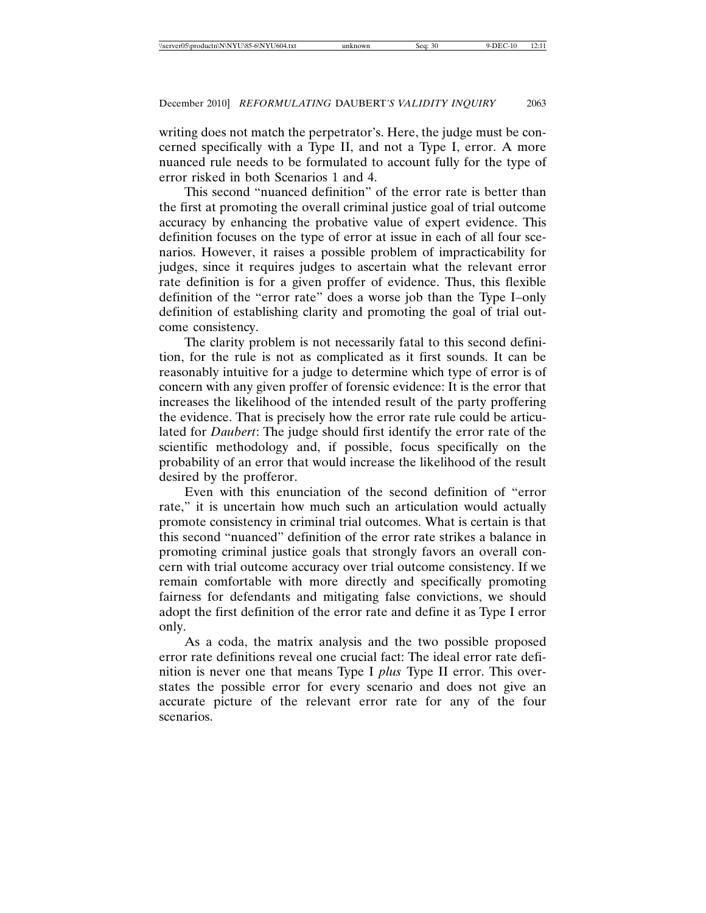writing does not match the perpetrator's. Here, the judge must be concerned specifically with a Type II, and not a Type I, error. A more nuanced rule needs to be formulated to account fully for the type of error risked in both Scenarios 1 and 4.

This second "nuanced definition" of the error rate is better than the first at promoting the overall criminal justice goal of trial outcome accuracy by enhancing the probative value of expert evidence. This definition focuses on the type of error at issue in each of all four scenarios. However, it raises a possible problem of impracticability for judges, since it requires judges to ascertain what the relevant error rate definition is for a given proffer of evidence. Thus, this flexible definition of the "error rate" does a worse job than the Type I–only definition of establishing clarity and promoting the goal of trial outcome consistency.

The clarity problem is not necessarily fatal to this second definition, for the rule is not as complicated as it first sounds. It can be reasonably intuitive for a judge to determine which type of error is of concern with any given proffer of forensic evidence: It is the error that increases the likelihood of the intended result of the party proffering the evidence. That is precisely how the error rate rule could be articulated for *Daubert*: The judge should first identify the error rate of the scientific methodology and, if possible, focus specifically on the probability of an error that would increase the likelihood of the result desired by the profferor.

Even with this enunciation of the second definition of "error rate," it is uncertain how much such an articulation would actually promote consistency in criminal trial outcomes. What is certain is that this second "nuanced" definition of the error rate strikes a balance in promoting criminal justice goals that strongly favors an overall concern with trial outcome accuracy over trial outcome consistency. If we remain comfortable with more directly and specifically promoting fairness for defendants and mitigating false convictions, we should adopt the first definition of the error rate and define it as Type I error only.

As a coda, the matrix analysis and the two possible proposed error rate definitions reveal one crucial fact: The ideal error rate definition is never one that means Type I *plus* Type II error. This overstates the possible error for every scenario and does not give an accurate picture of the relevant error rate for any of the four scenarios.